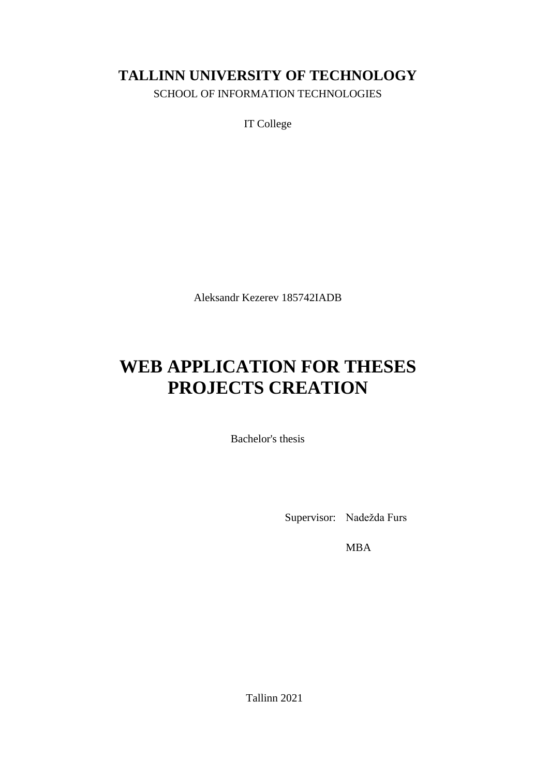# **TALLINN UNIVERSITY OF TECHNOLOGY**

SCHOOL OF INFORMATION TECHNOLOGIES

IT College

Aleksandr Kezerev 185742IADB

# **WEB APPLICATION FOR THESES PROJECTS CREATION**

Bachelor's thesis

Supervisor: Nadežda Furs

MBA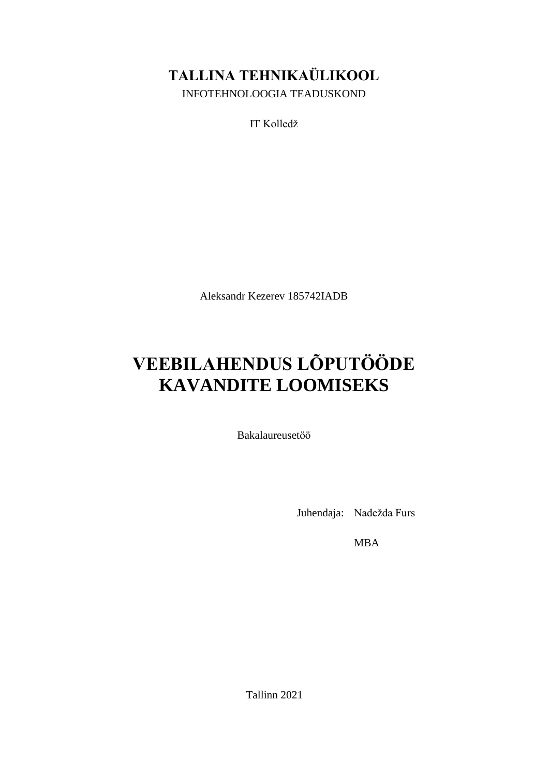# **TALLINA TEHNIKAÜLIKOOL**

INFOTEHNOLOOGIA TEADUSKOND

IT Kolledž

Aleksandr Kezerev 185742IADB

# **VEEBILAHENDUS LÕPUTÖÖDE KAVANDITE LOOMISEKS**

Bakalaureusetöö

Juhendaja: Nadežda Furs

MBA

Tallinn 2021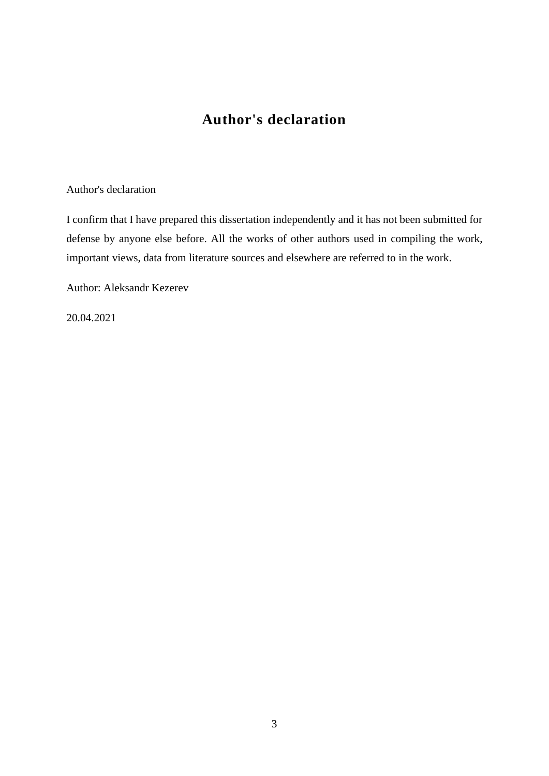# **Author's declaration**

### Author's declaration

I confirm that I have prepared this dissertation independently and it has not been submitted for defense by anyone else before. All the works of other authors used in compiling the work, important views, data from literature sources and elsewhere are referred to in the work.

Author: Aleksandr Kezerev

20.04.2021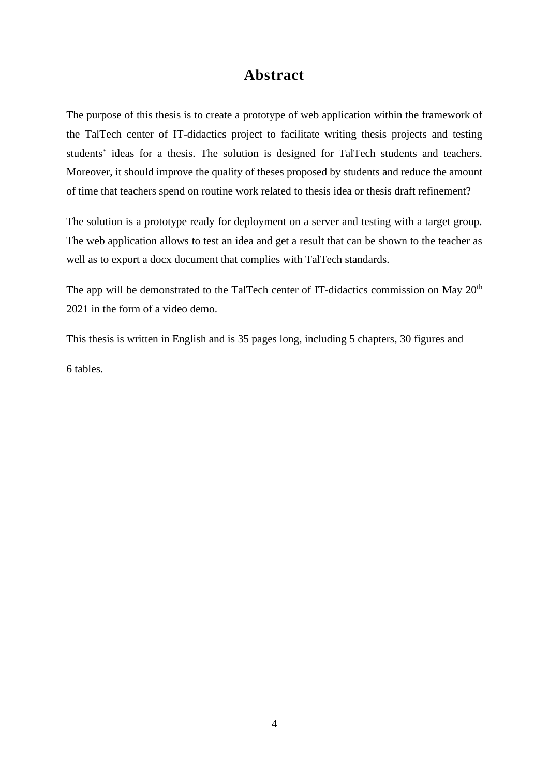# **Abstract**

The purpose of this thesis is to create a prototype of web application within the framework of the TalTech center of IT-didactics project to facilitate writing thesis projects and testing students' ideas for a thesis. The solution is designed for TalTech students and teachers. Moreover, it should improve the quality of theses proposed by students and reduce the amount of time that teachers spend on routine work related to thesis idea or thesis draft refinement?

The solution is a prototype ready for deployment on a server and testing with a target group. The web application allows to test an idea and get a result that can be shown to the teacher as well as to export a docx document that complies with TalTech standards.

The app will be demonstrated to the TalTech center of IT-didactics commission on May  $20<sup>th</sup>$ 2021 in the form of a video demo.

This thesis is written in English and is 35 pages long, including 5 chapters, 30 figures and 6 tables.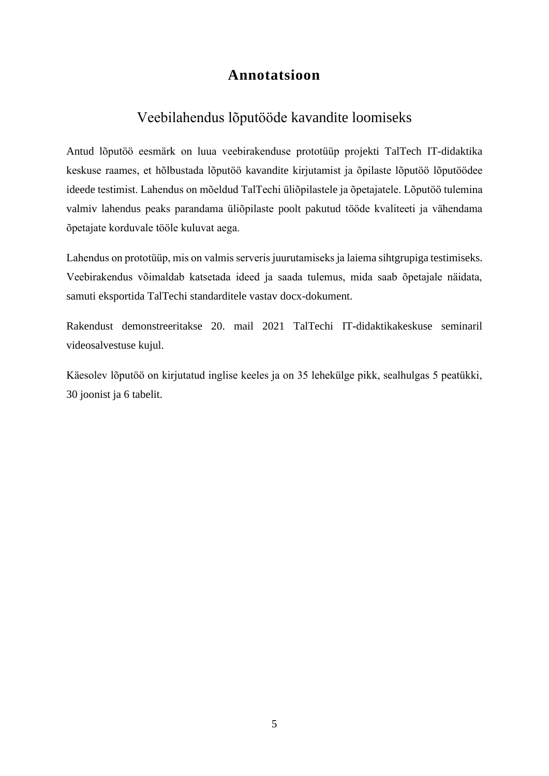# **Annotatsioon**

# Veebilahendus lõputööde kavandite loomiseks

Antud lõputöö eesmärk on luua veebirakenduse prototüüp projekti TalTech IT-didaktika keskuse raames, et hõlbustada lõputöö kavandite kirjutamist ja õpilaste lõputöö lõputöödee ideede testimist. Lahendus on mõeldud TalTechi üliõpilastele ja õpetajatele. Lõputöö tulemina valmiv lahendus peaks parandama üliõpilaste poolt pakutud tööde kvaliteeti ja vähendama õpetajate korduvale tööle kuluvat aega.

Lahendus on prototüüp, mis on valmis serveris juurutamiseks ja laiema sihtgrupiga testimiseks. Veebirakendus võimaldab katsetada ideed ja saada tulemus, mida saab õpetajale näidata, samuti eksportida TalTechi standarditele vastav docx-dokument.

Rakendust demonstreeritakse 20. mail 2021 TalTechi IT-didaktikakeskuse seminaril videosalvestuse kujul.

Käesolev lõputöö on kirjutatud inglise keeles ja on 35 lehekülge pikk, sealhulgas 5 peatükki, 30 joonist ja 6 tabelit.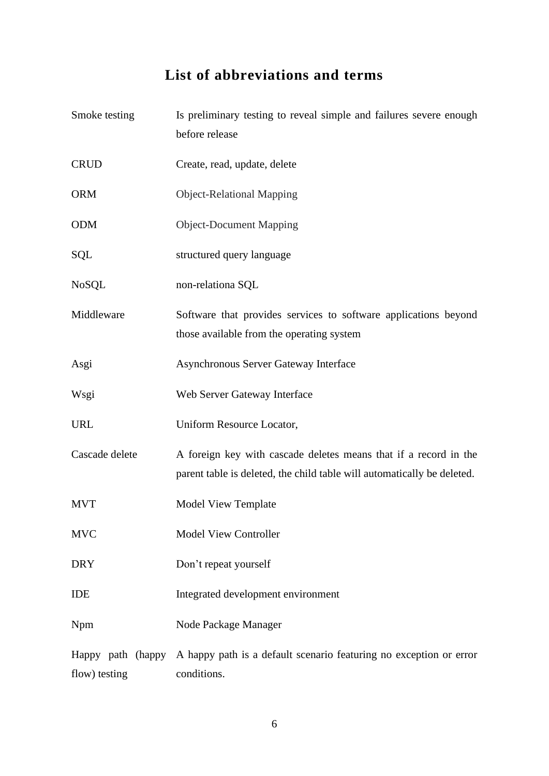# **List of abbreviations and terms**

| Smoke testing  | Is preliminary testing to reveal simple and failures severe enough<br>before release                                                        |  |
|----------------|---------------------------------------------------------------------------------------------------------------------------------------------|--|
|                |                                                                                                                                             |  |
| <b>CRUD</b>    | Create, read, update, delete                                                                                                                |  |
| <b>ORM</b>     | <b>Object-Relational Mapping</b>                                                                                                            |  |
| <b>ODM</b>     | <b>Object-Document Mapping</b>                                                                                                              |  |
| <b>SQL</b>     | structured query language                                                                                                                   |  |
| <b>NoSQL</b>   | non-relationa SQL                                                                                                                           |  |
| Middleware     | Software that provides services to software applications beyond<br>those available from the operating system                                |  |
| Asgi           | Asynchronous Server Gateway Interface                                                                                                       |  |
| Wsgi           | Web Server Gateway Interface                                                                                                                |  |
| <b>URL</b>     | Uniform Resource Locator,                                                                                                                   |  |
| Cascade delete | A foreign key with cascade deletes means that if a record in the<br>parent table is deleted, the child table will automatically be deleted. |  |
| <b>MVT</b>     | Model View Template                                                                                                                         |  |
| <b>MVC</b>     | <b>Model View Controller</b>                                                                                                                |  |
| <b>DRY</b>     | Don't repeat yourself                                                                                                                       |  |
| <b>IDE</b>     | Integrated development environment                                                                                                          |  |
| Npm            | Node Package Manager                                                                                                                        |  |
| flow) testing  | Happy path (happy A happy path is a default scenario featuring no exception or error<br>conditions.                                         |  |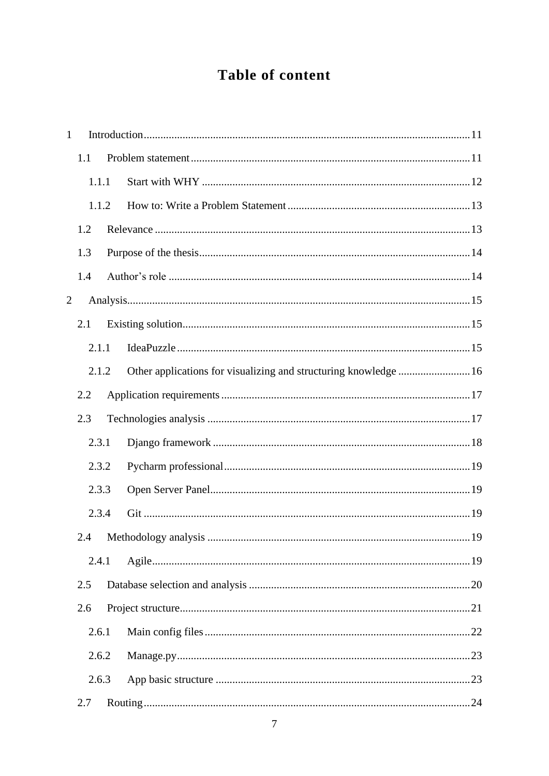# Table of content

| $\mathbf{1}$   |       |                                                                  |  |
|----------------|-------|------------------------------------------------------------------|--|
|                | 1.1   |                                                                  |  |
|                | 1.1.1 |                                                                  |  |
|                | 1.1.2 |                                                                  |  |
|                | 1.2   |                                                                  |  |
|                | 1.3   |                                                                  |  |
|                | 1.4   |                                                                  |  |
| $\overline{2}$ |       |                                                                  |  |
|                | 2.1   |                                                                  |  |
|                | 2.1.1 |                                                                  |  |
|                | 2.1.2 | Other applications for visualizing and structuring knowledge  16 |  |
|                | 2.2   |                                                                  |  |
|                | 2.3   |                                                                  |  |
|                | 2.3.1 |                                                                  |  |
|                | 2.3.2 |                                                                  |  |
|                | 2.3.3 |                                                                  |  |
|                | 2.3.4 |                                                                  |  |
|                | 2.4   |                                                                  |  |
|                | 2.4.1 |                                                                  |  |
|                | 2.5   |                                                                  |  |
|                | 2.6   |                                                                  |  |
|                | 2.6.1 |                                                                  |  |
|                | 2.6.2 |                                                                  |  |
|                | 2.6.3 |                                                                  |  |
|                | 2.7   |                                                                  |  |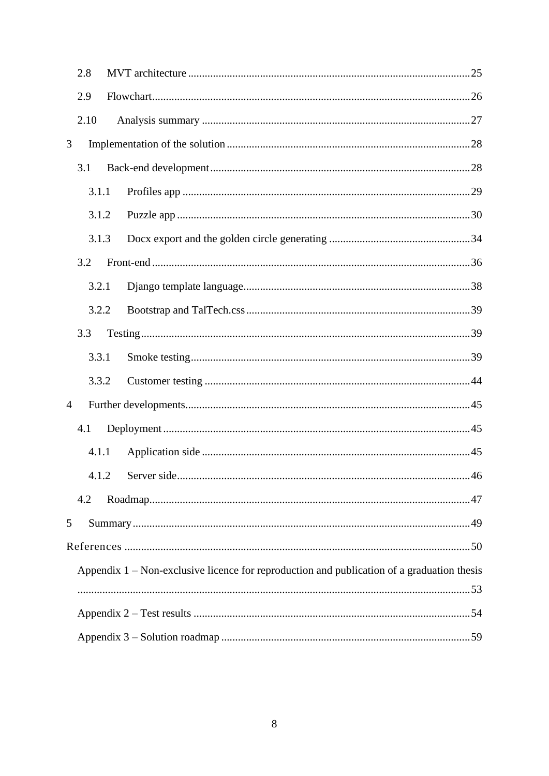|                | 2.8   |                                                                                              |    |
|----------------|-------|----------------------------------------------------------------------------------------------|----|
|                | 2.9   |                                                                                              |    |
|                | 2.10  |                                                                                              |    |
| 3              |       |                                                                                              |    |
|                | 3.1   |                                                                                              |    |
|                | 3.1.1 |                                                                                              |    |
|                | 3.1.2 |                                                                                              |    |
|                | 3.1.3 |                                                                                              |    |
|                | 3.2   |                                                                                              |    |
|                | 3.2.1 |                                                                                              |    |
|                | 3.2.2 |                                                                                              |    |
|                | 3.3   |                                                                                              |    |
|                | 3.3.1 |                                                                                              |    |
|                | 3.3.2 |                                                                                              |    |
| $\overline{4}$ |       |                                                                                              |    |
|                | 4.1   |                                                                                              |    |
|                | 4.1.1 |                                                                                              |    |
|                |       |                                                                                              | 46 |
|                | 4.2   |                                                                                              |    |
| 5              |       |                                                                                              |    |
|                |       |                                                                                              |    |
|                |       | Appendix $1$ – Non-exclusive licence for reproduction and publication of a graduation thesis |    |
|                |       |                                                                                              |    |
|                |       |                                                                                              |    |
|                |       |                                                                                              |    |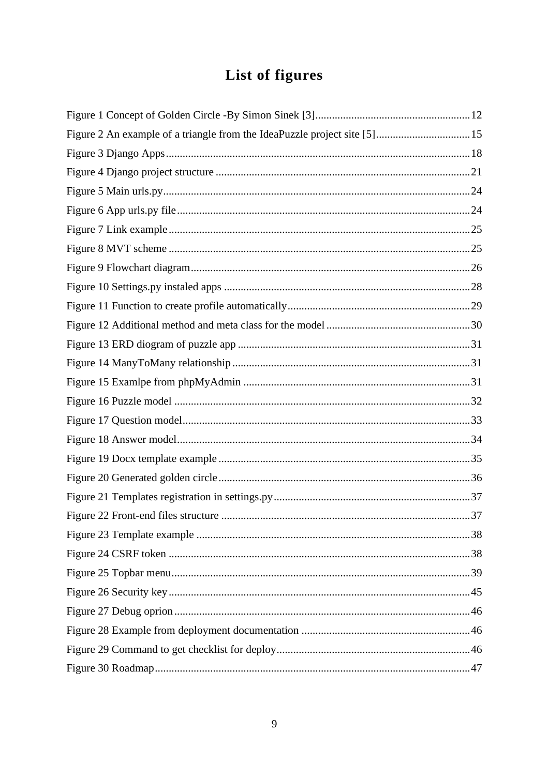# List of figures

| Figure 2 An example of a triangle from the IdeaPuzzle project site [5]15 |  |
|--------------------------------------------------------------------------|--|
|                                                                          |  |
|                                                                          |  |
|                                                                          |  |
|                                                                          |  |
|                                                                          |  |
|                                                                          |  |
|                                                                          |  |
|                                                                          |  |
|                                                                          |  |
|                                                                          |  |
|                                                                          |  |
|                                                                          |  |
|                                                                          |  |
|                                                                          |  |
|                                                                          |  |
|                                                                          |  |
|                                                                          |  |
|                                                                          |  |
|                                                                          |  |
|                                                                          |  |
|                                                                          |  |
|                                                                          |  |
|                                                                          |  |
|                                                                          |  |
|                                                                          |  |
|                                                                          |  |
|                                                                          |  |
|                                                                          |  |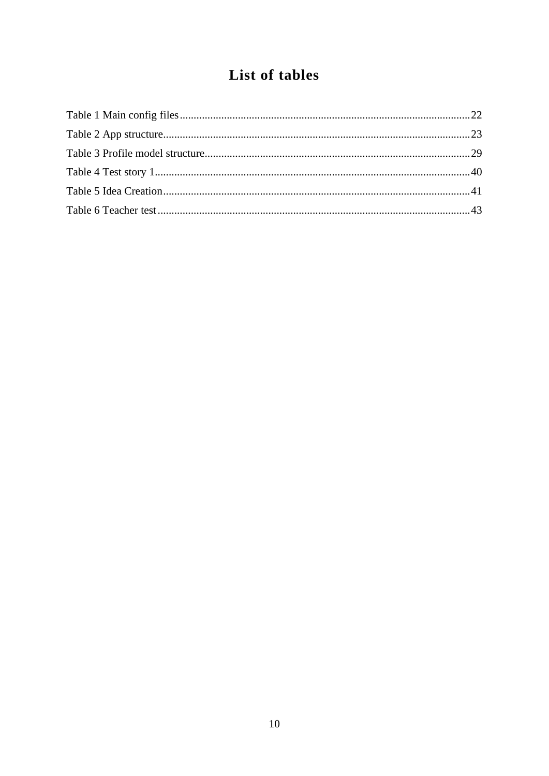# List of tables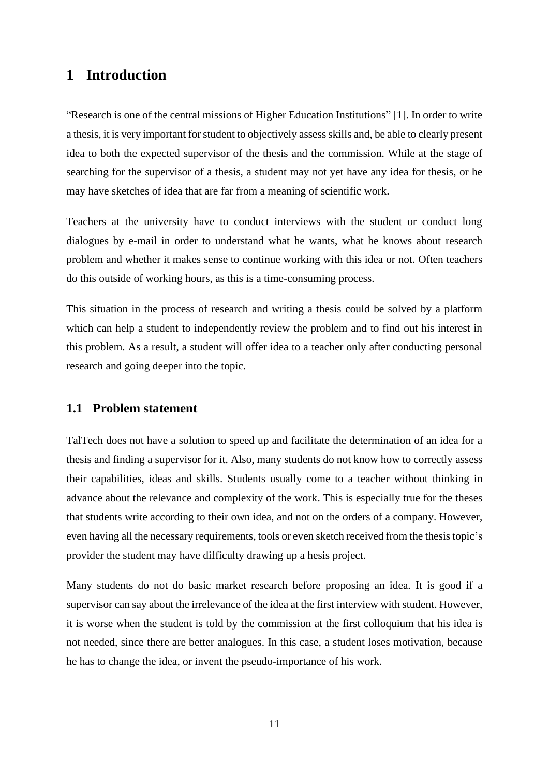## <span id="page-10-0"></span>**1 Introduction**

"Research is one of the central missions of Higher Education Institutions" [1]. In order to write a thesis, it is very important for student to objectively assess skills and, be able to clearly present idea to both the expected supervisor of the thesis and the commission. While at the stage of searching for the supervisor of a thesis, a student may not yet have any idea for thesis, or he may have sketches of idea that are far from a meaning of scientific work.

Teachers at the university have to conduct interviews with the student or conduct long dialogues by e-mail in order to understand what he wants, what he knows about research problem and whether it makes sense to continue working with this idea or not. Often teachers do this outside of working hours, as this is a time-consuming process.

This situation in the process of research and writing a thesis could be solved by a platform which can help a student to independently review the problem and to find out his interest in this problem. As a result, a student will offer idea to a teacher only after conducting personal research and going deeper into the topic.

### <span id="page-10-1"></span>**1.1 Problem statement**

TalTech does not have a solution to speed up and facilitate the determination of an idea for a thesis and finding a supervisor for it. Also, many students do not know how to correctly assess their capabilities, ideas and skills. Students usually come to a teacher without thinking in advance about the relevance and complexity of the work. This is especially true for the theses that students write according to their own idea, and not on the orders of a company. However, even having all the necessary requirements, tools or even sketch received from the thesis topic's provider the student may have difficulty drawing up a hesis project.

Many students do not do basic market research before proposing an idea. It is good if a supervisor can say about the irrelevance of the idea at the first interview with student. However, it is worse when the student is told by the commission at the first colloquium that his idea is not needed, since there are better analogues. In this case, a student loses motivation, because he has to change the idea, or invent the pseudo-importance of his work.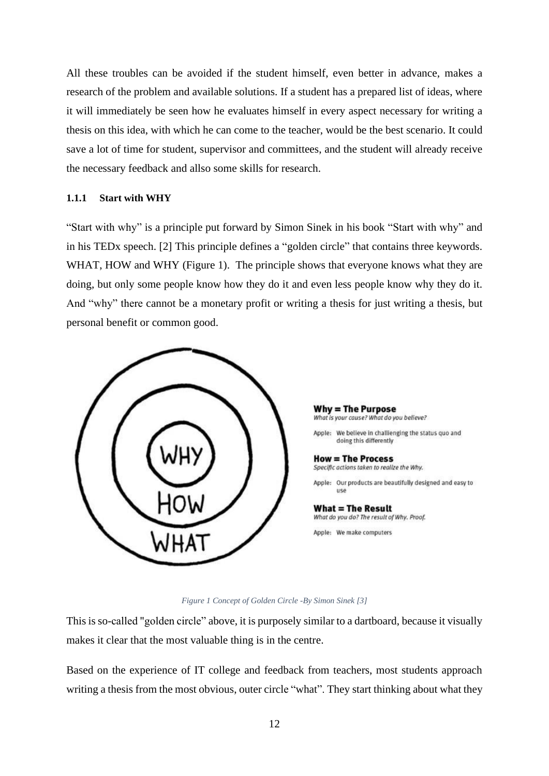All these troubles can be avoided if the student himself, even better in advance, makes a research of the problem and available solutions. If a student has a prepared list of ideas, where it will immediately be seen how he evaluates himself in every aspect necessary for writing a thesis on this idea, with which he can come to the teacher, would be the best scenario. It could save a lot of time for student, supervisor and committees, and the student will already receive the necessary feedback and allso some skills for research.

### <span id="page-11-0"></span>**1.1.1 Start with WHY**

"Start with why" is a principle put forward by Simon Sinek in his book "Start with why" and in his TEDx speech. [2] This principle defines a "golden circle" that contains three keywords. WHAT, HOW and WHY [\(Figure 1\)](#page-11-1). The principle shows that everyone knows what they are doing, but only some people know how they do it and even less people know why they do it. And "why" there cannot be a monetary profit or writing a thesis for just writing a thesis, but personal benefit or common good.



**Why = The Purpose** What is your cause? What do you believe?

Apple: We believe in challienging the status quo and doing this differently

**How = The Process** Specific actions taken to realize the Why.

Apple: Our products are beautifully designed and easy to use

**What = The Result** What do you do? The result of Why. Proof. Apple: We make computers

#### *Figure 1 Concept of Golden Circle -By Simon Sinek [3]*

<span id="page-11-1"></span>This is so-called "golden circle" above, it is purposely similar to a dartboard, because it visually makes it clear that the most valuable thing is in the centre.

Based on the experience of IT college and feedback from teachers, most students approach writing a thesis from the most obvious, outer circle "what". They start thinking about what they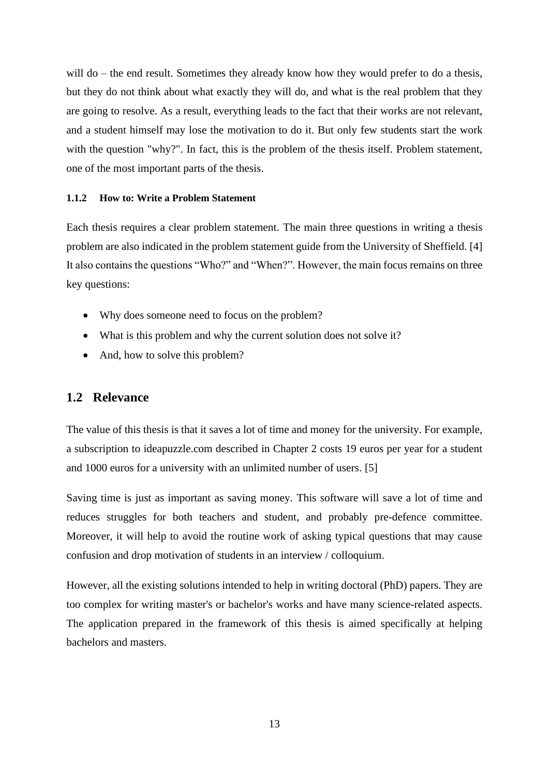will do – the end result. Sometimes they already know how they would prefer to do a thesis, but they do not think about what exactly they will do, and what is the real problem that they are going to resolve. As a result, everything leads to the fact that their works are not relevant, and a student himself may lose the motivation to do it. But only few students start the work with the question "why?". In fact, this is the problem of the thesis itself. Problem statement, one of the most important parts of the thesis.

### <span id="page-12-0"></span>**1.1.2 How to: Write a Problem Statement**

Each thesis requires a clear problem statement. The main three questions in writing a thesis problem are also indicated in the problem statement guide from the University of Sheffield. [4] It also contains the questions "Who?" and "When?". However, the main focus remains on three key questions:

- Why does someone need to focus on the problem?
- What is this problem and why the current solution does not solve it?
- And, how to solve this problem?

### <span id="page-12-1"></span>**1.2 Relevance**

The value of this thesis is that it saves a lot of time and money for the university. For example, a subscription to ideapuzzle.com described in Chapter 2 costs 19 euros per year for a student and 1000 euros for a university with an unlimited number of users. [5]

Saving time is just as important as saving money. This software will save a lot of time and reduces struggles for both teachers and student, and probably pre-defence committee. Moreover, it will help to avoid the routine work of asking typical questions that may cause confusion and drop motivation of students in an interview / colloquium.

However, all the existing solutions intended to help in writing doctoral (PhD) papers. They are too complex for writing master's or bachelor's works and have many science-related aspects. The application prepared in the framework of this thesis is aimed specifically at helping bachelors and masters.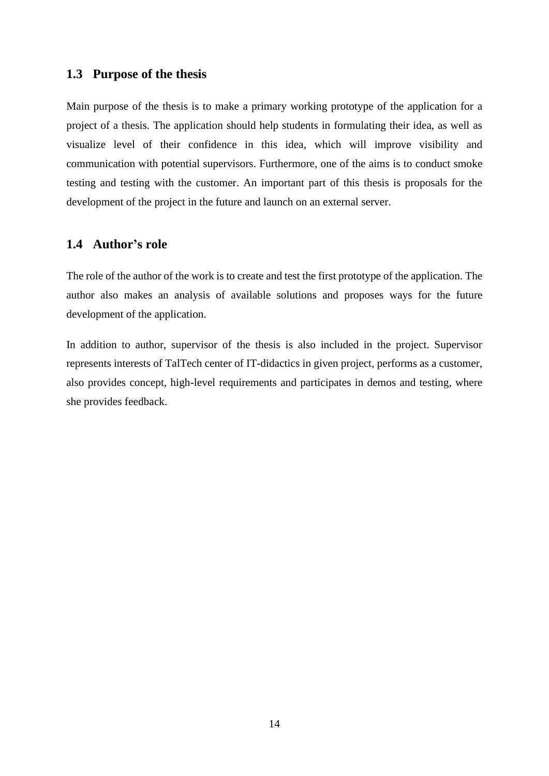### <span id="page-13-0"></span>**1.3 Purpose of the thesis**

Main purpose of the thesis is to make a primary working prototype of the application for a project of a thesis. The application should help students in formulating their idea, as well as visualize level of their confidence in this idea, which will improve visibility and communication with potential supervisors. Furthermore, one of the aims is to conduct smoke testing and testing with the customer. An important part of this thesis is proposals for the development of the project in the future and launch on an external server.

## <span id="page-13-1"></span>**1.4 Author's role**

The role of the author of the work is to create and test the first prototype of the application. The author also makes an analysis of available solutions and proposes ways for the future development of the application.

In addition to author, supervisor of the thesis is also included in the project. Supervisor represents interests of TalTech center of IT-didactics in given project, performs as a customer, also provides concept, high-level requirements and participates in demos and testing, where she provides feedback.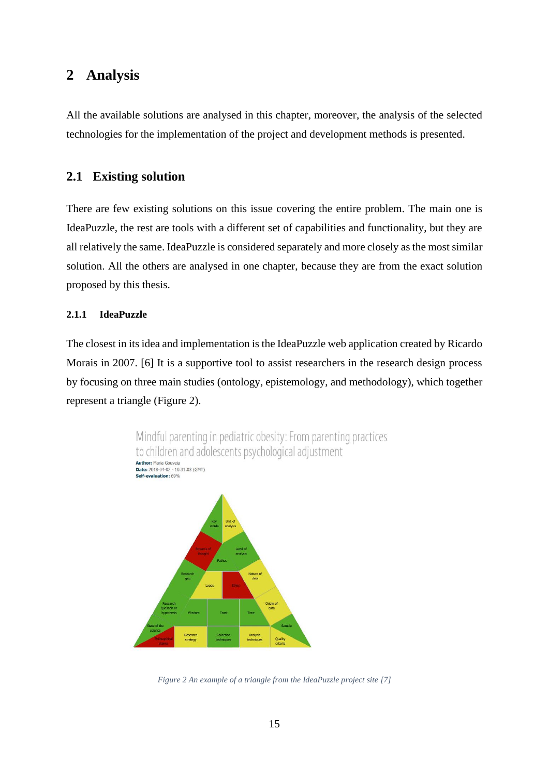# <span id="page-14-0"></span>**2 Analysis**

All the available solutions are analysed in this chapter, moreover, the analysis of the selected technologies for the implementation of the project and development methods is presented.

# <span id="page-14-1"></span>**2.1 Existing solution**

There are few existing solutions on this issue covering the entire problem. The main one is IdeaPuzzle, the rest are tools with a different set of capabilities and functionality, but they are all relatively the same. IdeaPuzzle is considered separately and more closely as the most similar solution. All the others are analysed in one chapter, because they are from the exact solution proposed by this thesis.

### <span id="page-14-2"></span>**2.1.1 IdeaPuzzle**

The closest in its idea and implementation is the IdeaPuzzle web application created by Ricardo Morais in 2007. [6] It is a supportive tool to assist researchers in the research design process by focusing on three main studies (ontology, epistemology, and methodology), which together represent a triangle [\(Figure 2\)](#page-14-3).



<span id="page-14-3"></span>*Figure 2 An example of a triangle from the IdeaPuzzle project site [7]*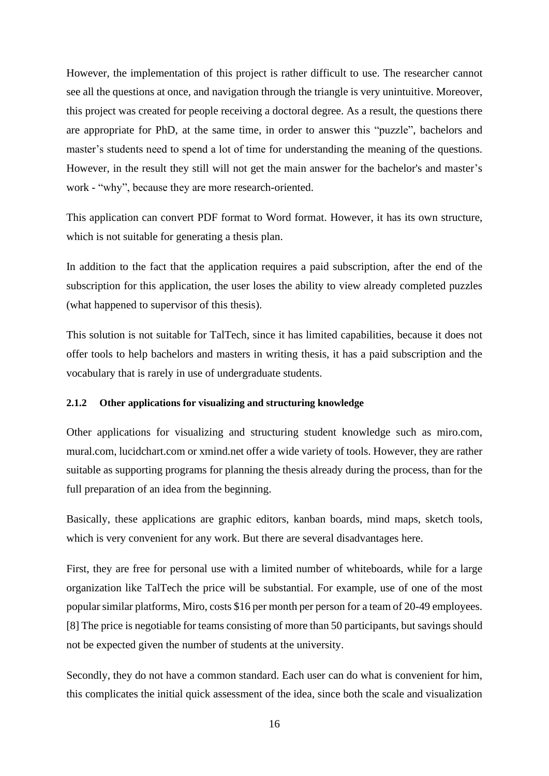However, the implementation of this project is rather difficult to use. The researcher cannot see all the questions at once, and navigation through the triangle is very unintuitive. Moreover, this project was created for people receiving a doctoral degree. As a result, the questions there are appropriate for PhD, at the same time, in order to answer this "puzzle", bachelors and master's students need to spend a lot of time for understanding the meaning of the questions. However, in the result they still will not get the main answer for the bachelor's and master's work - "why", because they are more research-oriented.

This application can convert PDF format to Word format. However, it has its own structure, which is not suitable for generating a thesis plan.

In addition to the fact that the application requires a paid subscription, after the end of the subscription for this application, the user loses the ability to view already completed puzzles (what happened to supervisor of this thesis).

This solution is not suitable for TalTech, since it has limited capabilities, because it does not offer tools to help bachelors and masters in writing thesis, it has a paid subscription and the vocabulary that is rarely in use of undergraduate students.

#### <span id="page-15-0"></span>**2.1.2 Other applications for visualizing and structuring knowledge**

Other applications for visualizing and structuring student knowledge such as miro.com, mural.com, lucidchart.com or xmind.net offer a wide variety of tools. However, they are rather suitable as supporting programs for planning the thesis already during the process, than for the full preparation of an idea from the beginning.

Basically, these applications are graphic editors, kanban boards, mind maps, sketch tools, which is very convenient for any work. But there are several disadvantages here.

First, they are free for personal use with a limited number of whiteboards, while for a large organization like TalTech the price will be substantial. For example, use of one of the most popular similar platforms, Miro, costs \$16 per month per person for a team of 20-49 employees. [8] The price is negotiable for teams consisting of more than 50 participants, but savings should not be expected given the number of students at the university.

Secondly, they do not have a common standard. Each user can do what is convenient for him, this complicates the initial quick assessment of the idea, since both the scale and visualization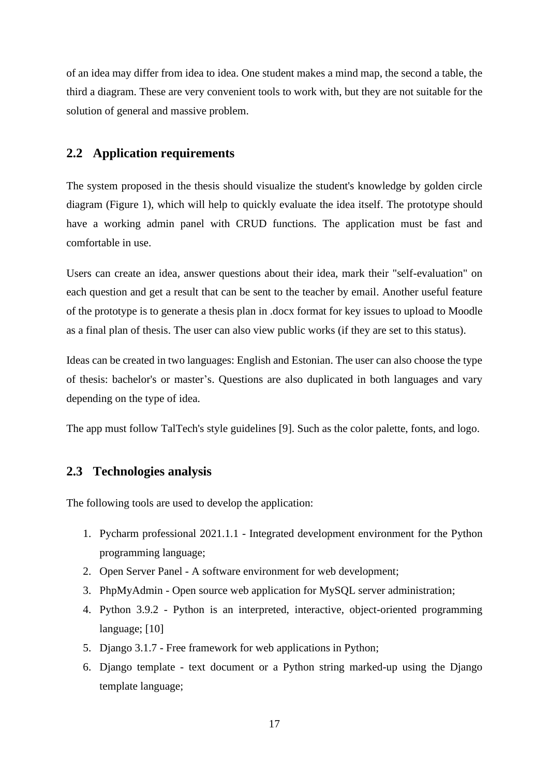of an idea may differ from idea to idea. One student makes a mind map, the second a table, the third a diagram. These are very convenient tools to work with, but they are not suitable for the solution of general and massive problem.

## <span id="page-16-0"></span>**2.2 Application requirements**

The system proposed in the thesis should visualize the student's knowledge by golden circle diagram [\(Figure 1\)](#page-11-1), which will help to quickly evaluate the idea itself. The prototype should have a working admin panel with CRUD functions. The application must be fast and comfortable in use.

Users can create an idea, answer questions about their idea, mark their "self-evaluation" on each question and get a result that can be sent to the teacher by email. Another useful feature of the prototype is to generate a thesis plan in .docx format for key issues to upload to Moodle as a final plan of thesis. The user can also view public works (if they are set to this status).

Ideas can be created in two languages: English and Estonian. The user can also choose the type of thesis: bachelor's or master's. Questions are also duplicated in both languages and vary depending on the type of idea.

The app must follow TalTech's style guidelines [9]. Such as the color palette, fonts, and logo.

## <span id="page-16-1"></span>**2.3 Technologies analysis**

The following tools are used to develop the application:

- 1. Pycharm professional 2021.1.1 Integrated development environment for the Python programming language;
- 2. Open Server Panel A software environment for web development;
- 3. PhpMyAdmin Open source web application for MySQL server administration;
- 4. Python 3.9.2 Python is an interpreted, interactive, object-oriented programming language; [10]
- 5. Django 3.1.7 Free framework for web applications in Python;
- 6. Django template text document or a Python string marked-up using the Django template language;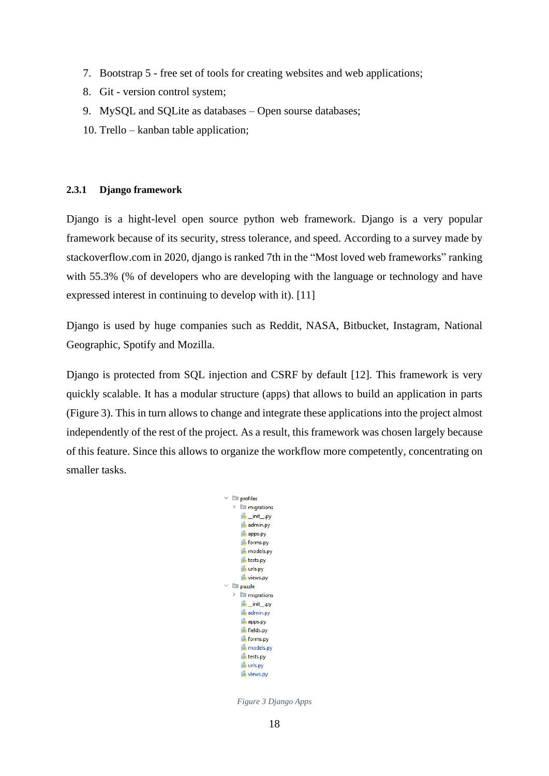- 7. Bootstrap 5 free set of tools for creating websites and web applications;
- 8. Git version control system;
- 9. MySQL and SQLite as databases Open sourse databases;
- 10. Trello kanban table application;

### <span id="page-17-0"></span>**2.3.1 Django framework**

Django is a hight-level open source python web framework. Django is a very popular framework because of its security, stress tolerance, and speed. According to a survey made by stackoverflow.com in 2020, django is ranked 7th in the "Most loved web frameworks" ranking with 55.3% (% of developers who are developing with the language or technology and have expressed interest in continuing to develop with it). [11]

Django is used by huge companies such as Reddit, NASA, Bitbucket, Instagram, National Geographic, Spotify and Mozilla.

Django is protected from SQL injection and CSRF by default [12]. This framework is very quickly scalable. It has a modular structure (apps) that allows to build an application in parts [\(Figure 3\)](#page-17-1). This in turn allows to change and integrate these applications into the project almost independently of the rest of the project. As a result, this framework was chosen largely because of this feature. Since this allows to organize the workflow more competently, concentrating on smaller tasks.

<span id="page-17-1"></span>

*Figure 3 Django Apps*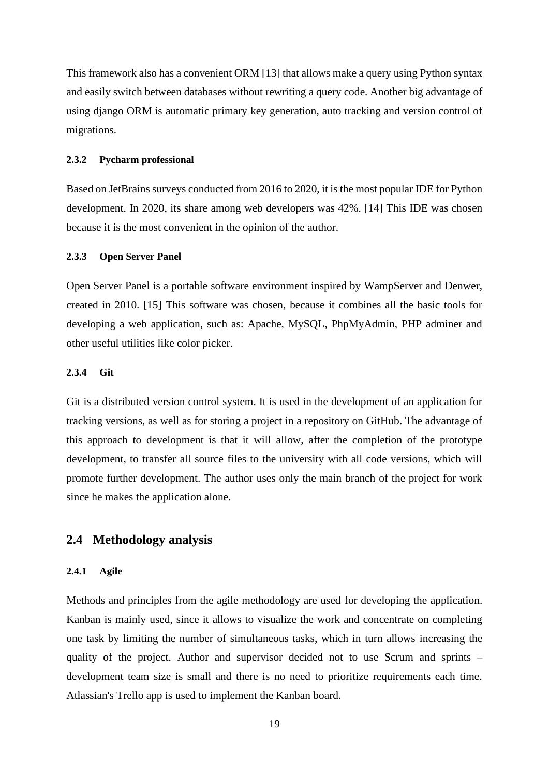This framework also has a convenient ORM [13] that allows make a query using Python syntax and easily switch between databases without rewriting a query code. Another big advantage of using django ORM is automatic primary key generation, auto tracking and version control of migrations.

#### <span id="page-18-0"></span>**2.3.2 Pycharm professional**

Based on JetBrains surveys conducted from 2016 to 2020, it is the most popular IDE for Python development. In 2020, its share among web developers was 42%. [14] This IDE was chosen because it is the most convenient in the opinion of the author.

### <span id="page-18-1"></span>**2.3.3 Open Server Panel**

Open Server Panel is a portable software environment inspired by WampServer and Denwer, created in 2010. [15] This software was chosen, because it combines all the basic tools for developing a web application, such as: Apache, MySQL, PhpMyAdmin, PHP adminer and other useful utilities like color picker.

### <span id="page-18-2"></span>**2.3.4 Git**

Git is a distributed version control system. It is used in the development of an application for tracking versions, as well as for storing a project in a repository on GitHub. The advantage of this approach to development is that it will allow, after the completion of the prototype development, to transfer all source files to the university with all code versions, which will promote further development. The author uses only the main branch of the project for work since he makes the application alone.

### <span id="page-18-3"></span>**2.4 Methodology analysis**

#### <span id="page-18-4"></span>**2.4.1 Agile**

Methods and principles from the agile methodology are used for developing the application. Kanban is mainly used, since it allows to visualize the work and concentrate on completing one task by limiting the number of simultaneous tasks, which in turn allows increasing the quality of the project. Author and supervisor decided not to use Scrum and sprints – development team size is small and there is no need to prioritize requirements each time. Atlassian's Trello app is used to implement the Kanban board.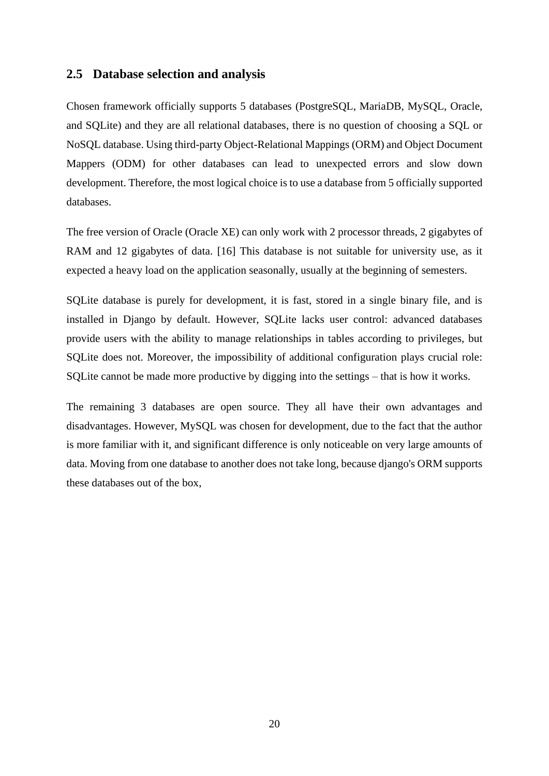### <span id="page-19-0"></span>**2.5 Database selection and analysis**

Chosen framework officially supports 5 databases (PostgreSQL, MariaDB, MySQL, Oracle, and SQLite) and they are all relational databases, there is no question of choosing a SQL or NoSQL database. Using third-party Object-Relational Mappings (ORM) and Object Document Mappers (ODM) for other databases can lead to unexpected errors and slow down development. Therefore, the most logical choice is to use a database from 5 officially supported databases.

The free version of Oracle (Oracle XE) can only work with 2 processor threads, 2 gigabytes of RAM and 12 gigabytes of data. [16] This database is not suitable for university use, as it expected a heavy load on the application seasonally, usually at the beginning of semesters.

SQLite database is purely for development, it is fast, stored in a single binary file, and is installed in Django by default. However, SQLite lacks user control: advanced databases provide users with the ability to manage relationships in tables according to privileges, but SQLite does not. Moreover, the impossibility of additional configuration plays crucial role: SQLite cannot be made more productive by digging into the settings – that is how it works.

The remaining 3 databases are open source. They all have their own advantages and disadvantages. However, MySQL was chosen for development, due to the fact that the author is more familiar with it, and significant difference is only noticeable on very large amounts of data. Moving from one database to another does not take long, because django's ORM supports these databases out of the box,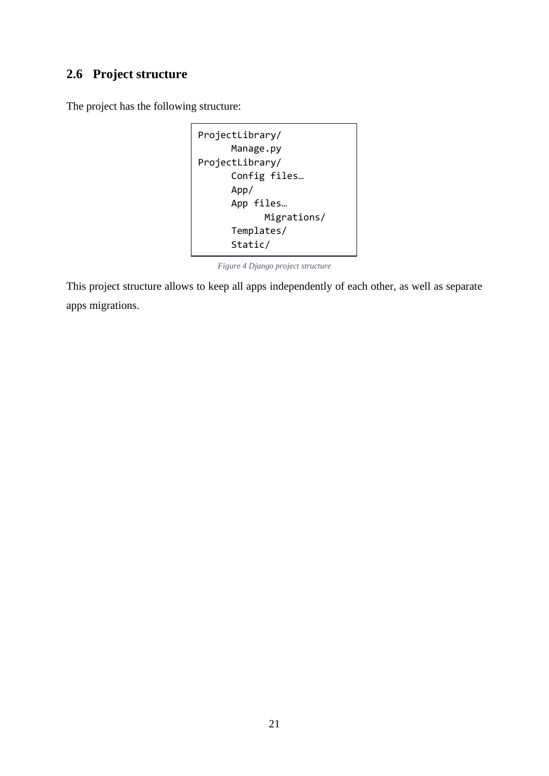# <span id="page-20-0"></span>**2.6 Project structure**

The project has the following structure:

```
ProjectLibrary/
      Manage.py
ProjectLibrary/
      Config files…
      App/
      App files…
            Migrations/
      Templates/
      Static/
```
*Figure 4 Django project structure*

<span id="page-20-1"></span>This project structure allows to keep all apps independently of each other, as well as separate apps migrations.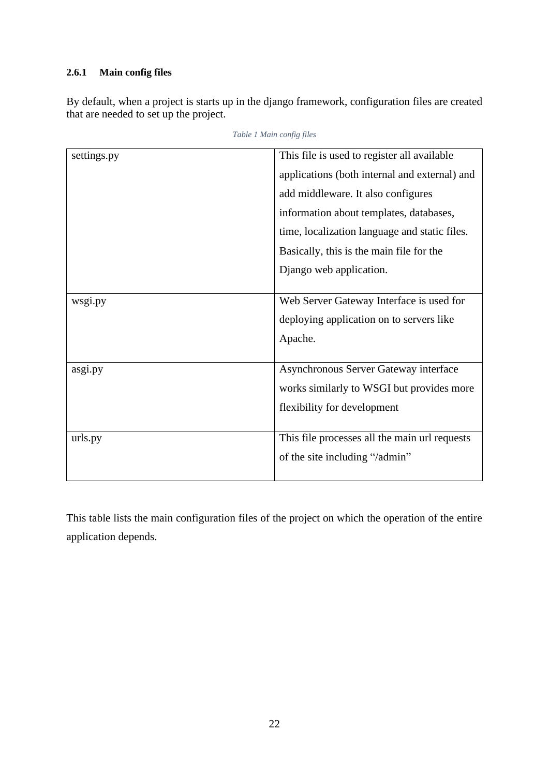## <span id="page-21-0"></span>**2.6.1 Main config files**

<span id="page-21-1"></span>By default, when a project is starts up in the django framework, configuration files are created that are needed to set up the project.

| settings.py | This file is used to register all available   |
|-------------|-----------------------------------------------|
|             |                                               |
|             | applications (both internal and external) and |
|             | add middleware. It also configures            |
|             | information about templates, databases,       |
|             | time, localization language and static files. |
|             | Basically, this is the main file for the      |
|             | Django web application.                       |
|             |                                               |
| wsgi.py     | Web Server Gateway Interface is used for      |
|             | deploying application on to servers like      |
|             | Apache.                                       |
|             |                                               |
| asgi.py     | Asynchronous Server Gateway interface         |
|             | works similarly to WSGI but provides more     |
|             | flexibility for development                   |
|             |                                               |
| urls.py     | This file processes all the main url requests |
|             | of the site including "/admin"                |
|             |                                               |

*Table 1 Main config files*

This table lists the main configuration files of the project on which the operation of the entire application depends.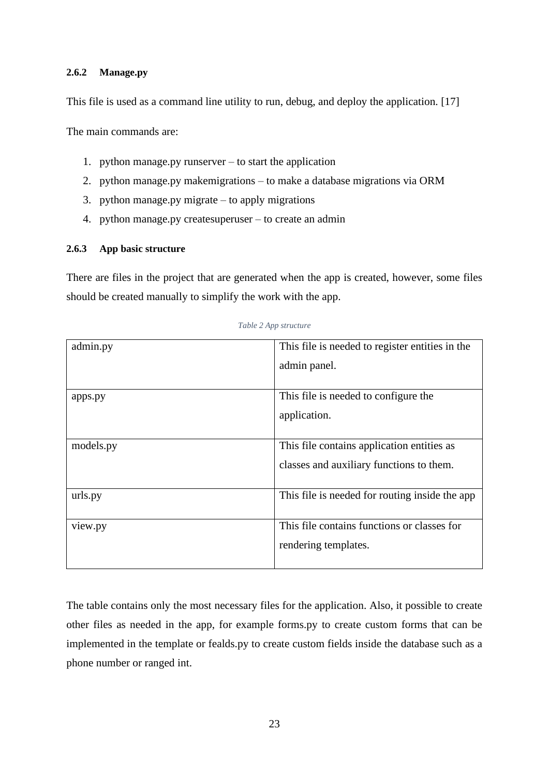### <span id="page-22-0"></span>**2.6.2 Manage.py**

This file is used as a command line utility to run, debug, and deploy the application. [17]

The main commands are:

- 1. python manage.py runserver to start the application
- 2. python manage.py makemigrations to make a database migrations via ORM
- 3. python manage.py migrate to apply migrations
- 4. python manage.py createsuperuser to create an admin

### <span id="page-22-1"></span>**2.6.3 App basic structure**

There are files in the project that are generated when the app is created, however, some files should be created manually to simplify the work with the app.

<span id="page-22-2"></span>

| admin.py  | This file is needed to register entities in the |
|-----------|-------------------------------------------------|
|           | admin panel.                                    |
|           |                                                 |
| apps.py   | This file is needed to configure the            |
|           | application.                                    |
|           |                                                 |
| models.py | This file contains application entities as      |
|           | classes and auxiliary functions to them.        |
|           |                                                 |
| urls.py   | This file is needed for routing inside the app  |
| view.py   | This file contains functions or classes for     |
|           | rendering templates.                            |
|           |                                                 |

*Table 2 App structure*

The table contains only the most necessary files for the application. Also, it possible to create other files as needed in the app, for example forms.py to create custom forms that can be implemented in the template or fealds.py to create custom fields inside the database such as a phone number or ranged int.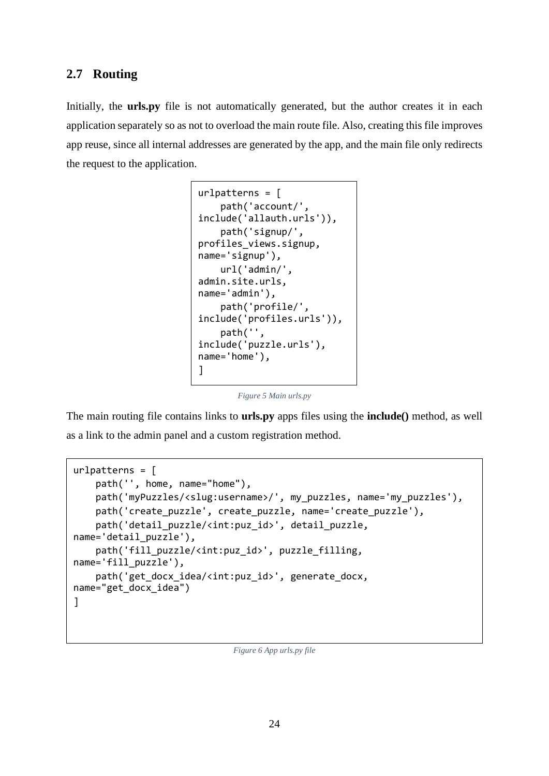## <span id="page-23-0"></span>**2.7 Routing**

Initially, the **urls.py** file is not automatically generated, but the author creates it in each application separately so as not to overload the main route file. Also, creating this file improves app reuse, since all internal addresses are generated by the app, and the main file only redirects the request to the application.

```
urlpatterns = [ path('account/', 
include('allauth.urls')),
     path('signup/', 
profiles_views.signup, 
name='signup'),
     url('admin/', 
admin.site.urls, 
name='admin'),
     path('profile/', 
include('profiles.urls')),
     path('', 
include('puzzle.urls'), 
name='home'),
]
```
*Figure 5 Main urls.py*

<span id="page-23-1"></span>The main routing file contains links to **urls.py** apps files using the **include()** method, as well as a link to the admin panel and a custom registration method.

```
urlpatterns = [
     path('', home, name="home"),
     path('myPuzzles/<slug:username>/', my_puzzles, name='my_puzzles'),
    path('create puzzle', create puzzle, name='create puzzle'),
    path('detail puzzle/<int:puz id>', detail puzzle,
name='detail_puzzle'),
     path('fill_puzzle/<int:puz_id>', puzzle_filling, 
name='fill_puzzle'),
     path('get_docx_idea/<int:puz_id>', generate_docx, 
name="get_docx_idea")
]
```
*Figure 6 App urls.py file*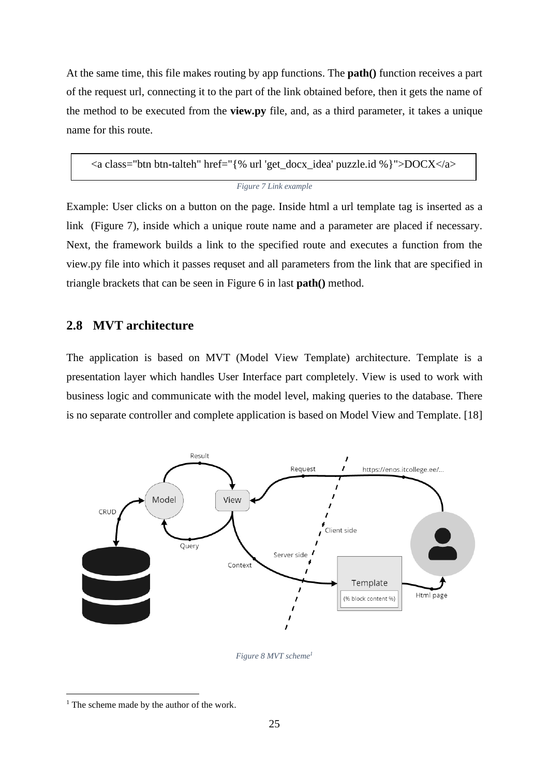At the same time, this file makes routing by app functions. The **path()** function receives a part of the request url, connecting it to the part of the link obtained before, then it gets the name of the method to be executed from the **view.py** file, and, as a third parameter, it takes a unique name for this route.

```
Figure 7 Link example
<a class="btn btn-talteh" href="{% url 'get_docx_idea' puzzle.id %}">DOCX</a>
```
Example: User clicks on a button on the page. Inside html a url template tag is inserted as a link (Figure 7), inside which a unique route name and a parameter are placed if necessary. Next, the framework builds a link to the specified route and executes a function from the view.py file into which it passes requset and all parameters from the link that are specified in triangle brackets that can be seen in Figure 6 in last **path()** method.

### <span id="page-24-0"></span>**2.8 MVT architecture**

The application is based on MVT (Model View Template) architecture. Template is a presentation layer which handles User Interface part completely. View is used to work with business logic and communicate with the model level, making queries to the database. There is no separate controller and complete application is based on Model View and Template. [18]



*Figure 8 MVT scheme<sup>1</sup>*

<span id="page-24-2"></span> $<sup>1</sup>$  The scheme made by the author of the work.</sup>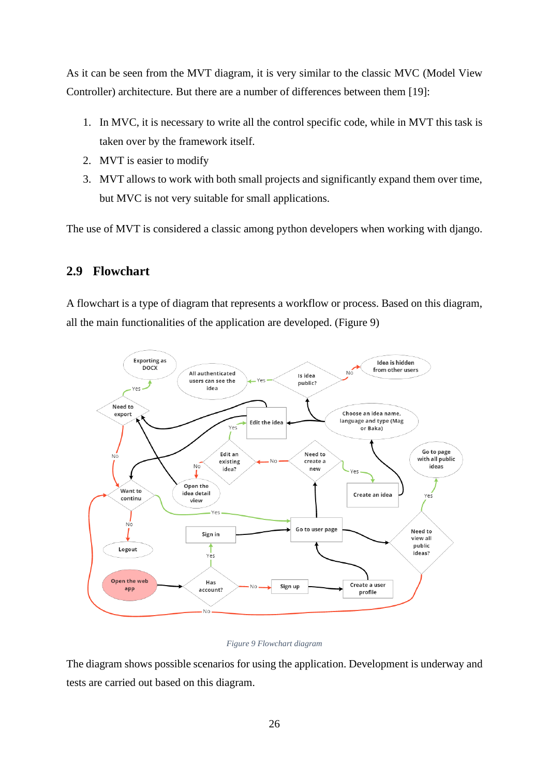As it can be seen from the MVT diagram, it is very similar to the classic MVC (Model View Controller) architecture. But there are a number of differences between them [19]:

- 1. In MVC, it is necessary to write all the control specific code, while in MVT this task is taken over by the framework itself.
- 2. MVT is easier to modify
- 3. MVT allows to work with both small projects and significantly expand them over time, but MVC is not very suitable for small applications.

The use of MVT is considered a classic among python developers when working with django.

# <span id="page-25-0"></span>**2.9 Flowchart**

A flowchart is a type of diagram that represents a workflow or process. Based on this diagram, all the main functionalities of the application are developed. [\(Figure 9\)](#page-25-1)



### *Figure 9 Flowchart diagram*

<span id="page-25-1"></span>The diagram shows possible scenarios for using the application. Development is underway and tests are carried out based on this diagram.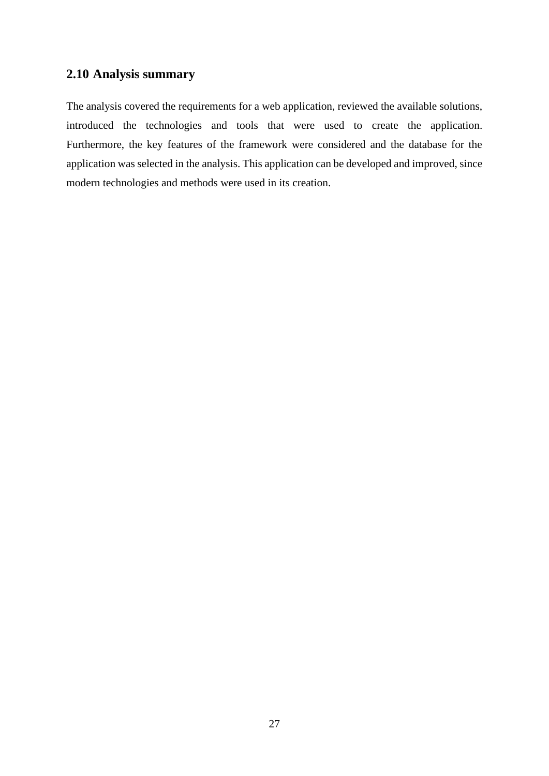## <span id="page-26-0"></span>**2.10 Analysis summary**

The analysis covered the requirements for a web application, reviewed the available solutions, introduced the technologies and tools that were used to create the application. Furthermore, the key features of the framework were considered and the database for the application was selected in the analysis. This application can be developed and improved, since modern technologies and methods were used in its creation.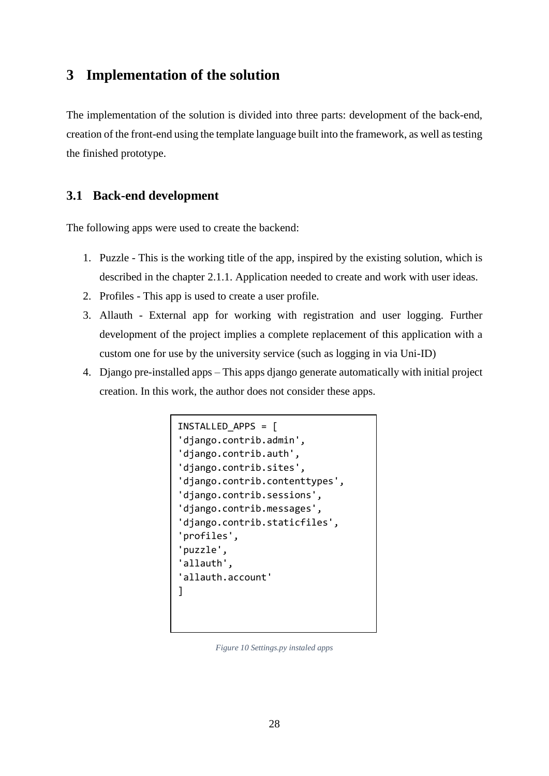# <span id="page-27-0"></span>**3 Implementation of the solution**

The implementation of the solution is divided into three parts: development of the back-end, creation of the front-end using the template language built into the framework, as well as testing the finished prototype.

## <span id="page-27-1"></span>**3.1 Back-end development**

The following apps were used to create the backend:

- 1. Puzzle This is the working title of the app, inspired by the existing solution, which is described in the chapter [2.1.1.](#page-14-2) Application needed to create and work with user ideas.
- 2. Profiles This app is used to create a user profile.
- 3. Allauth External app for working with registration and user logging. Further development of the project implies a complete replacement of this application with a custom one for use by the university service (such as logging in via Uni-ID)
- <span id="page-27-2"></span>4. Django pre-installed apps – This apps django generate automatically with initial project creation. In this work, the author does not consider these apps.

```
INSTALLED_APPS = [
'django.contrib.admin',
'django.contrib.auth',
'django.contrib.sites',
'django.contrib.contenttypes',
'django.contrib.sessions',
'django.contrib.messages',
'django.contrib.staticfiles',
'profiles',
'puzzle',
'allauth',
'allauth.account'
]
```
*Figure 10 Settings.py instaled apps*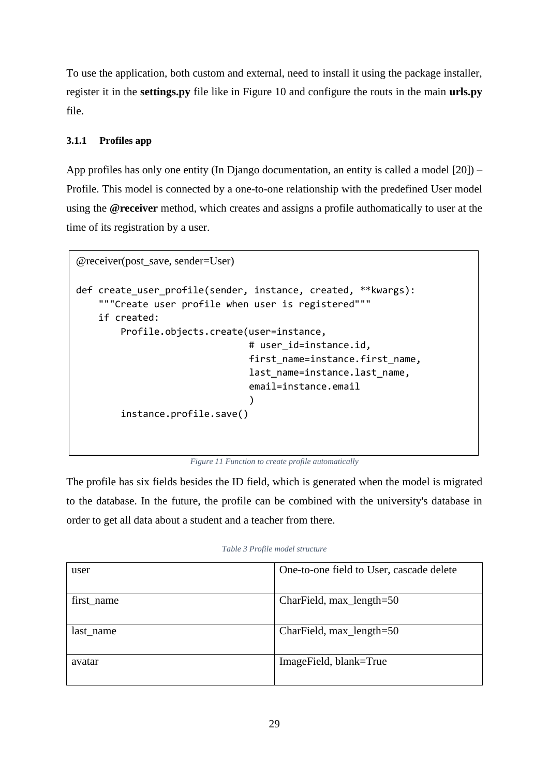To use the application, both custom and external, need to install it using the package installer, register it in the **settings.py** file like in Figure 10 and configure the routs in the main **urls.py** file.

### <span id="page-28-0"></span>**3.1.1 Profiles app**

App profiles has only one entity (In Django documentation, an entity is called a model [20]) – Profile. This model is connected by a one-to-one relationship with the predefined User model using the **@receiver** method, which creates and assigns a profile authomatically to user at the time of its registration by a user.

```
@receiver(post_save, sender=User)
def create user profile(sender, instance, created, **kwargs):
     """Create user profile when user is registered"""
     if created:
         Profile.objects.create(user=instance,
                                 # user id=instance.id,
                                 first name=instance.first name,
                                 last name=instance.last name,
                                 email=instance.email
                                 \lambda instance.profile.save()
```
*Figure 11 Function to create profile automatically*

<span id="page-28-2"></span>The profile has six fields besides the ID field, which is generated when the model is migrated to the database. In the future, the profile can be combined with the university's database in order to get all data about a student and a teacher from there.

| user       | One-to-one field to User, cascade delete |
|------------|------------------------------------------|
| first_name | CharField, max_length=50                 |
| last_name  | CharField, max_length=50                 |
| avatar     | ImageField, blank=True                   |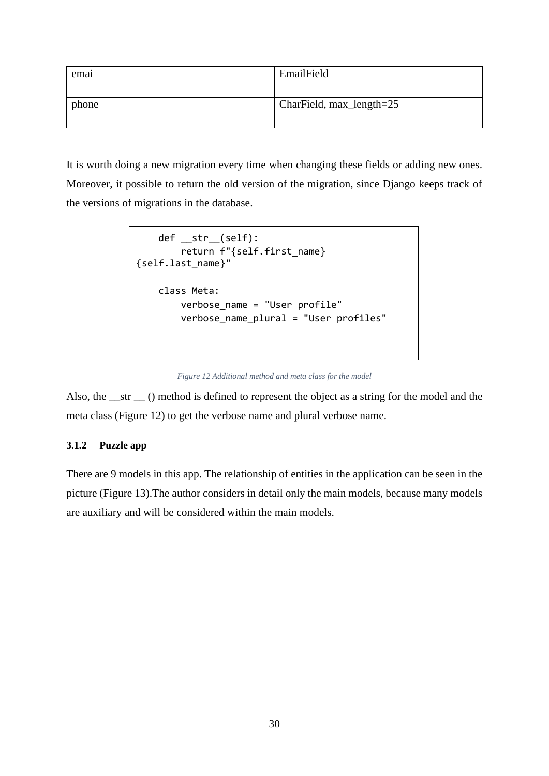| emai  | EmailField               |
|-------|--------------------------|
|       |                          |
| phone | CharField, max_length=25 |

<span id="page-29-1"></span>It is worth doing a new migration every time when changing these fields or adding new ones. Moreover, it possible to return the old version of the migration, since Django keeps track of the versions of migrations in the database.

```
 def __str__(self):
         return f"{self.first_name} 
{self.last_name}"
     class Meta:
         verbose_name = "User profile"
         verbose_name_plural = "User profiles"
```
*Figure 12 Additional method and meta class for the model*

Also, the \_\_str \_\_ () method is defined to represent the object as a string for the model and the meta class (Figure 12) to get the verbose name and plural verbose name.

### <span id="page-29-0"></span>**3.1.2 Puzzle app**

There are 9 models in this app. The relationship of entities in the application can be seen in the picture [\(Figure 13\)](#page-30-0).The author considers in detail only the main models, because many models are auxiliary and will be considered within the main models.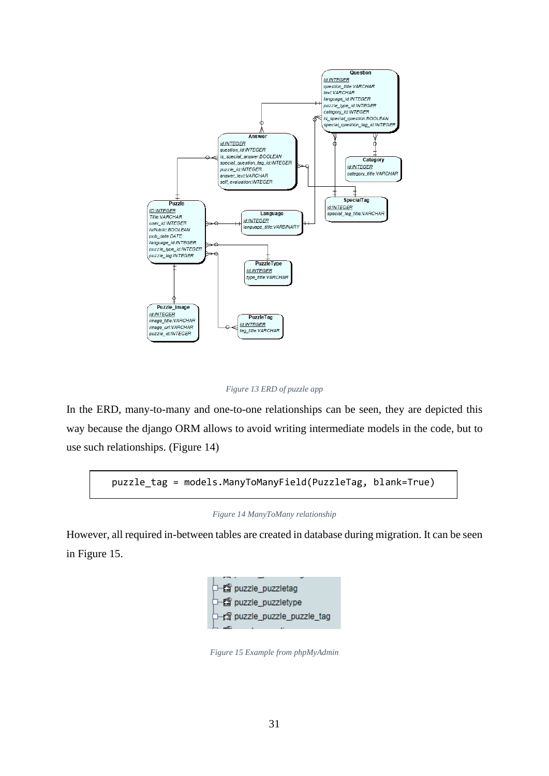

*Figure 13 ERD of puzzle app*

<span id="page-30-0"></span>In the ERD, many-to-many and one-to-one relationships can be seen, they are depicted this way because the django ORM allows to avoid writing intermediate models in the code, but to use such relationships. (Figure 14)

<span id="page-30-1"></span>puzzle\_tag = models.ManyToManyField(PuzzleTag, blank=True)

#### *Figure 14 ManyToMany relationship*

<span id="page-30-2"></span>However, all required in-between tables are created in database during migration. It can be seen in [Figure 15.](#page-30-2)



*Figure 15 Example from phpMyAdmin*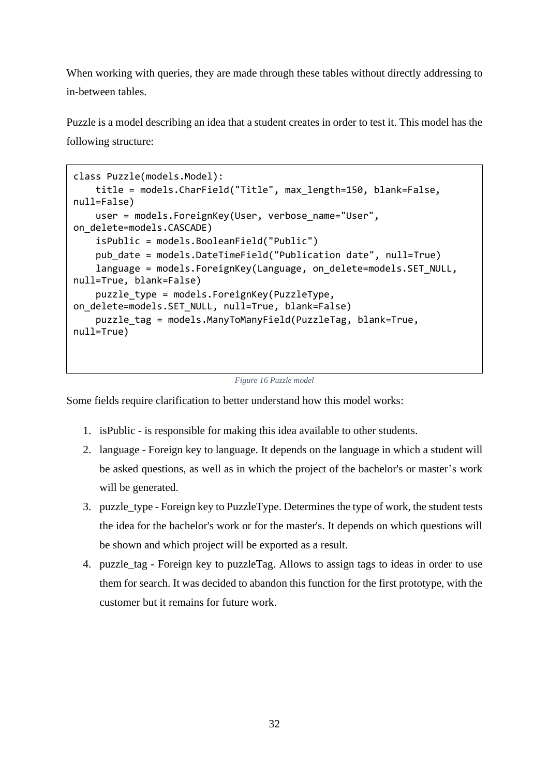When working with queries, they are made through these tables without directly addressing to in-between tables.

Puzzle is a model describing an idea that a student creates in order to test it. This model has the following structure:

```
class Puzzle(models.Model):
     title = models.CharField("Title", max_length=150, blank=False, 
null=False)
    user = models.ForeignKey(User, verbose name="User",
on_delete=models.CASCADE)
     isPublic = models.BooleanField("Public")
     pub_date = models.DateTimeField("Publication date", null=True)
     language = models.ForeignKey(Language, on_delete=models.SET_NULL, 
null=True, blank=False)
    puzzle type = models.ForeignKey(PuzzleType,
on_delete=models.SET_NULL, null=True, blank=False)
     puzzle_tag = models.ManyToManyField(PuzzleTag, blank=True, 
null=True)
```

```
Figure 16 Puzzle model
```
Some fields require clarification to better understand how this model works:

- 1. isPublic is responsible for making this idea available to other students.
- 2. language Foreign key to language. It depends on the language in which a student will be asked questions, as well as in which the project of the bachelor's or master's work will be generated.
- 3. puzzle\_type Foreign key to PuzzleType. Determines the type of work, the student tests the idea for the bachelor's work or for the master's. It depends on which questions will be shown and which project will be exported as a result.
- 4. puzzle\_tag Foreign key to puzzleTag. Allows to assign tags to ideas in order to use them for search. It was decided to abandon this function for the first prototype, with the customer but it remains for future work.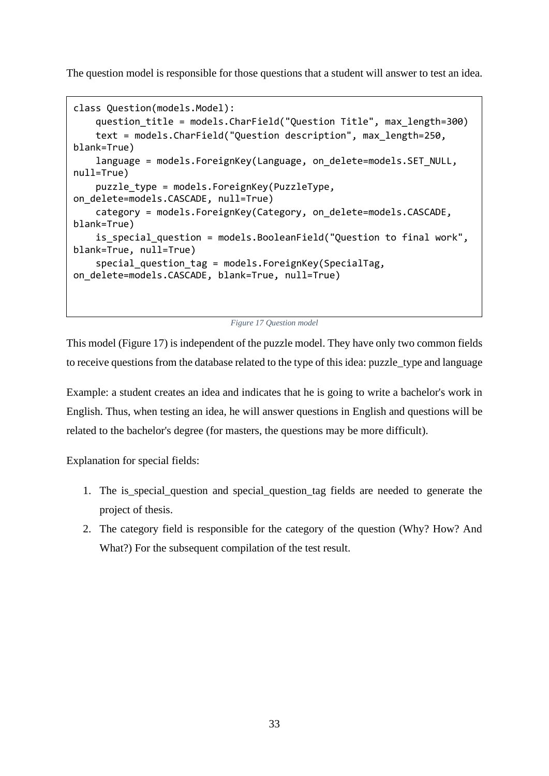The question model is responsible for those questions that a student will answer to test an idea.

```
class Question(models.Model):
    question title = models.CharField("Question Title", max length=300)
     text = models.CharField("Question description", max_length=250, 
blank=True)
     language = models.ForeignKey(Language, on_delete=models.SET_NULL, 
null=True)
    puzzle type = models.ForeignKey(PuzzleType,
on delete=models.CASCADE, null=True)
     category = models.ForeignKey(Category, on_delete=models.CASCADE, 
blank=True)
    is special question = models.BooleanField("Ouestion to final work",
blank=True, null=True)
    special_question_tag = models.ForeignKey(SpecialTag,
on_delete=models.CASCADE, blank=True, null=True)
```
*Figure 17 Question model*

This model (Figure 17) is independent of the puzzle model. They have only two common fields to receive questions from the database related to the type of this idea: puzzle\_type and language

Example: a student creates an idea and indicates that he is going to write a bachelor's work in English. Thus, when testing an idea, he will answer questions in English and questions will be related to the bachelor's degree (for masters, the questions may be more difficult).

Explanation for special fields:

- 1. The is\_special\_question and special\_question\_tag fields are needed to generate the project of thesis.
- 2. The category field is responsible for the category of the question (Why? How? And What?) For the subsequent compilation of the test result.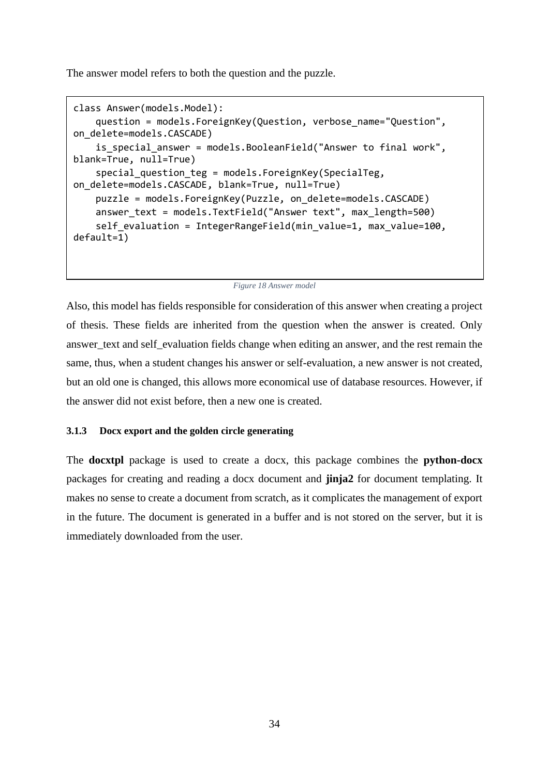The answer model refers to both the question and the puzzle.

```
class Answer(models.Model):
     question = models.ForeignKey(Question, verbose_name="Question", 
on_delete=models.CASCADE)
    is special answer = models.BooleanField("Answer to final work",
blank=True, null=True)
    special question teg = models.ForeignKey(SpecialTeg,
on delete=models.CASCADE, blank=True, null=True)
     puzzle = models.ForeignKey(Puzzle, on_delete=models.CASCADE)
     answer_text = models.TextField("Answer text", max_length=500)
     self_evaluation = IntegerRangeField(min_value=1, max_value=100, 
default=1)
```
#### *Figure 18 Answer model*

Also, this model has fields responsible for consideration of this answer when creating a project of thesis. These fields are inherited from the question when the answer is created. Only answer\_text and self\_evaluation fields change when editing an answer, and the rest remain the same, thus, when a student changes his answer or self-evaluation, a new answer is not created, but an old one is changed, this allows more economical use of database resources. However, if the answer did not exist before, then a new one is created.

### <span id="page-33-0"></span>**3.1.3 Docx export and the golden circle generating**

The **docxtpl** package is used to create a docx, this package combines the **python-docx** packages for creating and reading a docx document and **jinja2** for document templating. It makes no sense to create a document from scratch, as it complicates the management of export in the future. The document is generated in a buffer and is not stored on the server, but it is immediately downloaded from the user.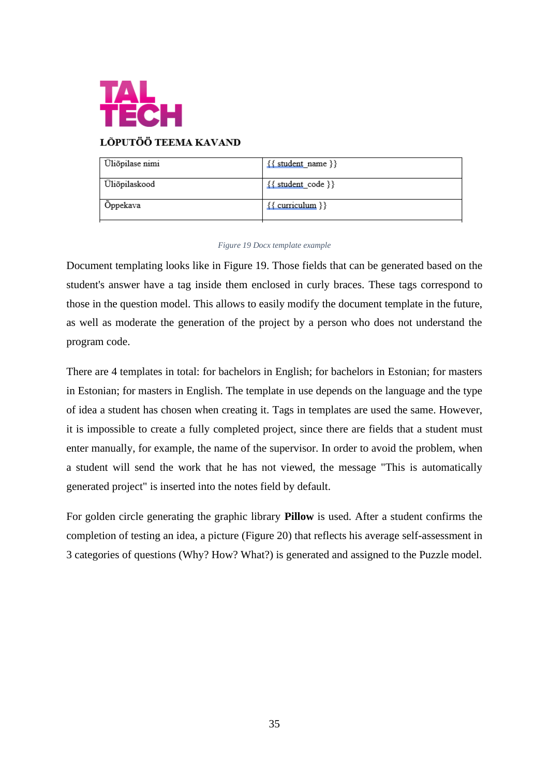

## LÕPUTÖÖ TEEMA KAVAND

| Üliõpilase nimi | $\{\{\text{student name}\}\}\$ |
|-----------------|--------------------------------|
| Üliõpilaskood   | $\{\{\text{student code}\}\}\$ |
| Öppekava        | $\{\{\text{curriculum}\}\}\$   |

#### *Figure 19 Docx template example*

<span id="page-34-0"></span>Document templating looks like in [Figure 19.](#page-34-0) Those fields that can be generated based on the student's answer have a tag inside them enclosed in curly braces. These tags correspond to those in the question model. This allows to easily modify the document template in the future, as well as moderate the generation of the project by a person who does not understand the program code.

There are 4 templates in total: for bachelors in English; for bachelors in Estonian; for masters in Estonian; for masters in English. The template in use depends on the language and the type of idea a student has chosen when creating it. Tags in templates are used the same. However, it is impossible to create a fully completed project, since there are fields that a student must enter manually, for example, the name of the supervisor. In order to avoid the problem, when a student will send the work that he has not viewed, the message "This is automatically generated project" is inserted into the notes field by default.

For golden circle generating the graphic library **Pillow** is used. After a student confirms the completion of testing an idea, a picture [\(Figure 20\)](#page-35-1) that reflects his average self-assessment in 3 categories of questions (Why? How? What?) is generated and assigned to the Puzzle model.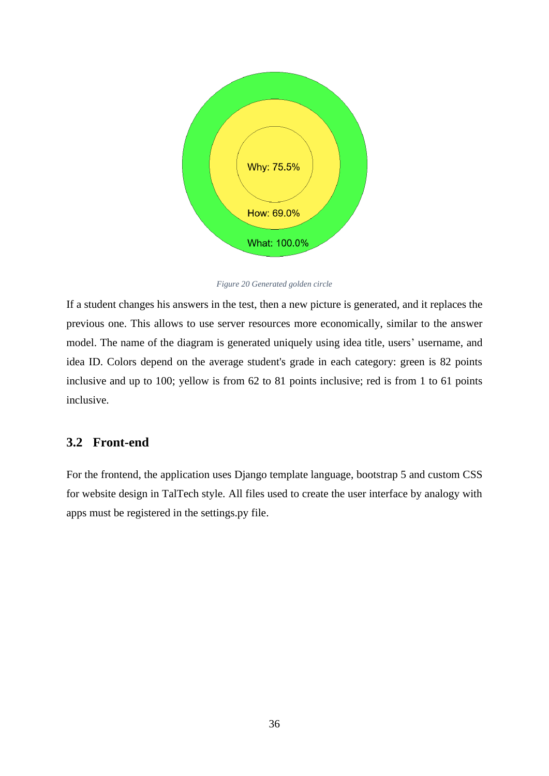

*Figure 20 Generated golden circle*

<span id="page-35-1"></span>If a student changes his answers in the test, then a new picture is generated, and it replaces the previous one. This allows to use server resources more economically, similar to the answer model. The name of the diagram is generated uniquely using idea title, users' username, and idea ID. Colors depend on the average student's grade in each category: green is 82 points inclusive and up to 100; yellow is from 62 to 81 points inclusive; red is from 1 to 61 points inclusive.

## <span id="page-35-0"></span>**3.2 Front-end**

For the frontend, the application uses Django template language, bootstrap 5 and custom CSS for website design in TalTech style. All files used to create the user interface by analogy with apps must be registered in the settings.py file.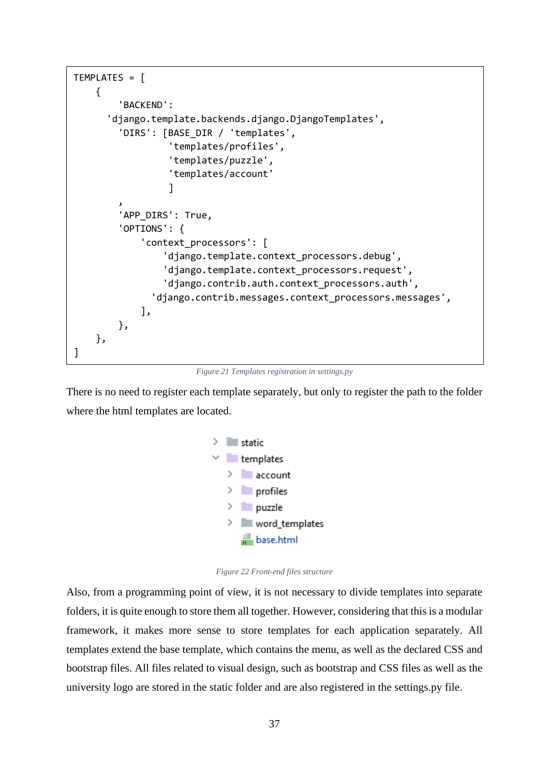<span id="page-36-0"></span>

*Figure 21 Templates registration in settings.py*

There is no need to register each template separately, but only to register the path to the folder where the html templates are located.



*Figure 22 Front-end files structure*

<span id="page-36-1"></span>Also, from a programming point of view, it is not necessary to divide templates into separate folders, it is quite enough to store them all together. However, considering that this is a modular framework, it makes more sense to store templates for each application separately. All templates extend the base template, which contains the menu, as well as the declared CSS and bootstrap files. All files related to visual design, such as bootstrap and CSS files as well as the university logo are stored in the static folder and are also registered in the settings.py file.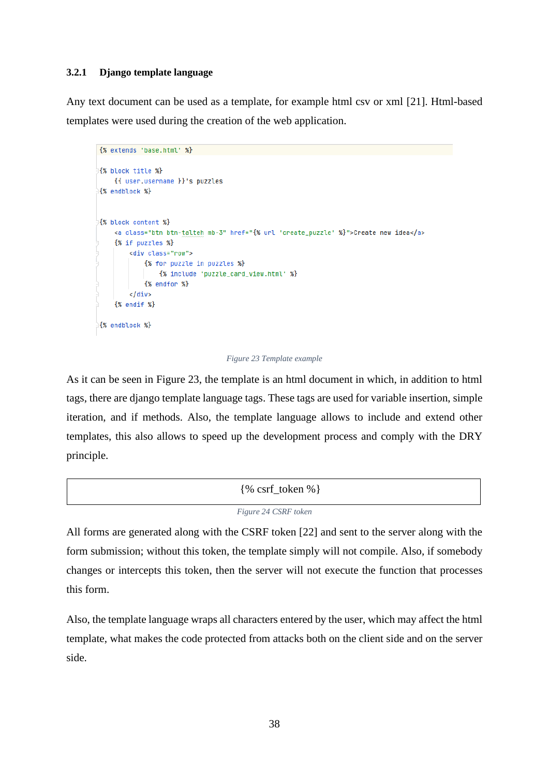### <span id="page-37-0"></span>**3.2.1 Django template language**

Any text document can be used as a template, for example html csv or xml [21]. Html-based templates were used during the creation of the web application.

```
{% extends 'base.html' %}
{% block title %}
    {{ user.username }}'s puzzles
{% endblock %}
{% block content %}
    <a class="btn btn-talteh mb-3" href="{% url 'create_puzzle' %}">Create new idea</a>
    {% if puzzles %}
        <div class="row">
             {% for puzzle in puzzles %}
                 {% include 'puzzle_card_view.html' %}
             {% endfor %}
        \frac{1}{\sqrt{2}}\{% \text{ endif } % \}{% endblock %}
```
#### *Figure 23 Template example*

<span id="page-37-1"></span>As it can be seen in [Figure 23,](#page-37-1) the template is an html document in which, in addition to html tags, there are django template language tags. These tags are used for variable insertion, simple iteration, and if methods. Also, the template language allows to include and extend other templates, this also allows to speed up the development process and comply with the DRY principle.

<span id="page-37-2"></span>

| $\% \text{ csrf\_token \%}$ |
|-----------------------------|
| Figure 24 CSRF token        |

All forms are generated along with the CSRF token [22] and sent to the server along with the form submission; without this token, the template simply will not compile. Also, if somebody changes or intercepts this token, then the server will not execute the function that processes this form.

Also, the template language wraps all characters entered by the user, which may affect the html template, what makes the code protected from attacks both on the client side and on the server side.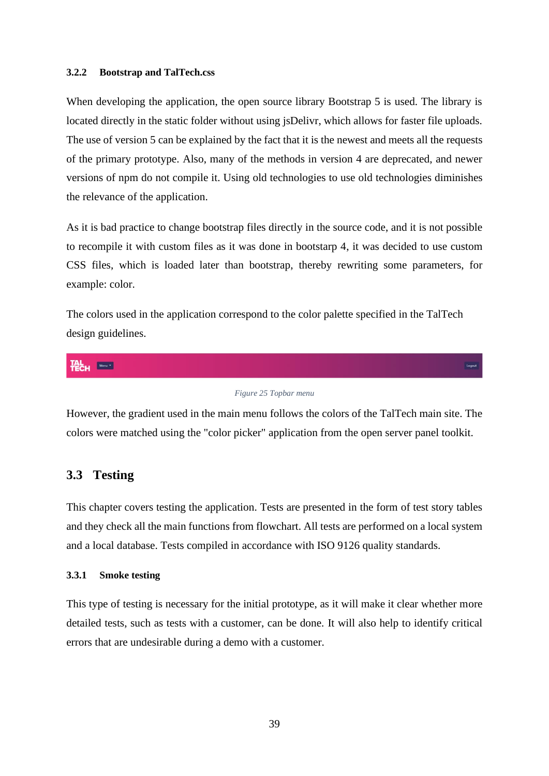#### <span id="page-38-0"></span>**3.2.2 Bootstrap and TalTech.css**

When developing the application, the open source library Bootstrap 5 is used. The library is located directly in the static folder without using jsDelivr, which allows for faster file uploads. The use of version 5 can be explained by the fact that it is the newest and meets all the requests of the primary prototype. Also, many of the methods in version 4 are deprecated, and newer versions of npm do not compile it. Using old technologies to use old technologies diminishes the relevance of the application.

As it is bad practice to change bootstrap files directly in the source code, and it is not possible to recompile it with custom files as it was done in bootstarp 4, it was decided to use custom CSS files, which is loaded later than bootstrap, thereby rewriting some parameters, for example: color.

The colors used in the application correspond to the color palette specified in the TalTech design guidelines.

$$
\textbf{H}_{\text{C}}^{\text{L}}\textbf{H}_{\text{C}}^{\text{L}}\textbf{H}_{\text{C}}^{\text{L}}\textbf{H}_{\text{C}}^{\text{L}}\textbf{H}_{\text{C}}^{\text{L}}\textbf{H}_{\text{C}}^{\text{L}}\textbf{H}_{\text{C}}^{\text{L}}\textbf{H}_{\text{C}}^{\text{L}}\textbf{H}_{\text{C}}^{\text{L}}\textbf{H}_{\text{C}}^{\text{L}}\textbf{H}_{\text{C}}^{\text{L}}\textbf{H}_{\text{C}}^{\text{L}}\textbf{H}_{\text{C}}^{\text{L}}\textbf{H}_{\text{C}}^{\text{L}}\textbf{H}_{\text{C}}^{\text{L}}\textbf{H}_{\text{C}}^{\text{L}}\textbf{H}_{\text{C}}^{\text{L}}\textbf{H}_{\text{C}}^{\text{L}}\textbf{H}_{\text{C}}^{\text{L}}\textbf{H}_{\text{C}}^{\text{L}}\textbf{H}_{\text{C}}^{\text{L}}\textbf{H}_{\text{C}}^{\text{L}}\textbf{H}_{\text{C}}^{\text{L}}\textbf{H}_{\text{C}}^{\text{L}}\textbf{H}_{\text{C}}^{\text{L}}\textbf{H}_{\text{C}}^{\text{L}}\textbf{H}_{\text{C}}^{\text{L}}\textbf{H}_{\text{C}}^{\text{L}}\textbf{H}_{\text{C}}^{\text{L}}\textbf{H}_{\text{C}}^{\text{L}}\textbf{H}_{\text{C}}^{\text{L}}\textbf{H}_{\text{C}}^{\text{L}}\textbf{H}_{\text{C}}^{\text{L}}\textbf{H}_{\text{C}}^{\text{L}}\textbf{H}_{\text{C}}^{\text{L}}\textbf{H}_{\text{C}}^{\text{L}}\textbf{H}_{\text{C}}^{\text{L}}\textbf{H}_{\text{C}}^{\text{L}}\textbf{H}_{\text{C}}^{\text{L}}\textbf{H}_{\text{C}}^{\text{L}}\textbf{H}_{\text{C}}^{\text{L}}\textbf{H}_{\text{C}}^{\text{L}}\textbf{H}_{\text{C}}^{\text{L}}\textbf{H}_{\text{C}}^{\text{L}}\textbf{H}_{\text{C}}^
$$

#### *Figure 25 Topbar menu*

<span id="page-38-3"></span>However, the gradient used in the main menu follows the colors of the TalTech main site. The colors were matched using the "color picker" application from the open server panel toolkit.

### <span id="page-38-1"></span>**3.3 Testing**

This chapter covers testing the application. Tests are presented in the form of test story tables and they check all the main functions from flowchart. All tests are performed on a local system and a local database. Tests compiled in accordance with ISO 9126 quality standards.

### <span id="page-38-2"></span>**3.3.1 Smoke testing**

This type of testing is necessary for the initial prototype, as it will make it clear whether more detailed tests, such as tests with a customer, can be done. It will also help to identify critical errors that are undesirable during a demo with a customer.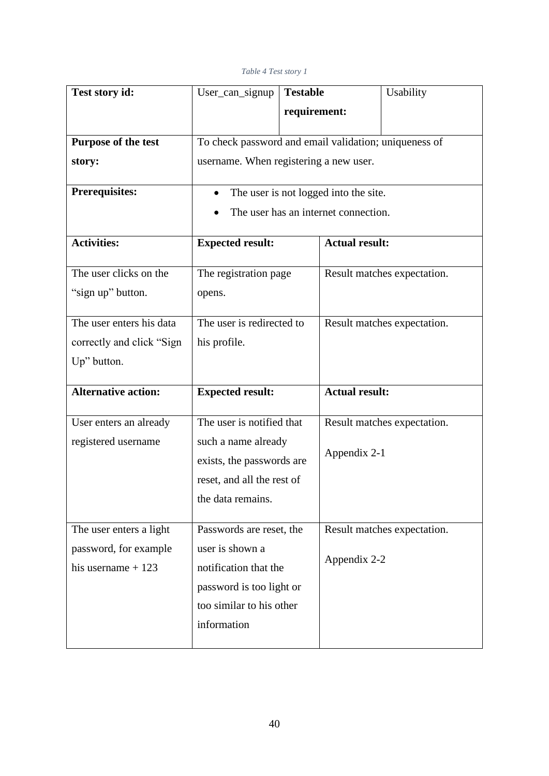### *Table 4 Test story 1*

<span id="page-39-0"></span>

| Test story id:             | User_can_signup                                       | <b>Testable</b> |                                      | Usability                   |
|----------------------------|-------------------------------------------------------|-----------------|--------------------------------------|-----------------------------|
|                            |                                                       | requirement:    |                                      |                             |
|                            |                                                       |                 |                                      |                             |
| Purpose of the test        | To check password and email validation; uniqueness of |                 |                                      |                             |
| story:                     | username. When registering a new user.                |                 |                                      |                             |
| <b>Prerequisites:</b>      | The user is not logged into the site.                 |                 |                                      |                             |
|                            |                                                       |                 | The user has an internet connection. |                             |
| <b>Activities:</b>         | <b>Expected result:</b>                               |                 | <b>Actual result:</b>                |                             |
| The user clicks on the     | The registration page                                 |                 |                                      | Result matches expectation. |
| "sign up" button.          | opens.                                                |                 |                                      |                             |
|                            |                                                       |                 |                                      |                             |
| The user enters his data   | The user is redirected to                             |                 |                                      | Result matches expectation. |
| correctly and click "Sign  | his profile.                                          |                 |                                      |                             |
| Up" button.                |                                                       |                 |                                      |                             |
|                            |                                                       |                 |                                      |                             |
| <b>Alternative action:</b> | <b>Expected result:</b>                               |                 | <b>Actual result:</b>                |                             |
| User enters an already     | The user is notified that                             |                 |                                      | Result matches expectation. |
| registered username        | such a name already                                   |                 |                                      |                             |
|                            | exists, the passwords are                             |                 | Appendix 2-1                         |                             |
|                            | reset, and all the rest of                            |                 |                                      |                             |
|                            | the data remains.                                     |                 |                                      |                             |
|                            |                                                       |                 |                                      |                             |
| The user enters a light    | Passwords are reset, the                              |                 |                                      | Result matches expectation. |
| password, for example      | user is shown a                                       |                 |                                      |                             |
| his username $+123$        | notification that the                                 |                 | Appendix 2-2                         |                             |
|                            | password is too light or                              |                 |                                      |                             |
|                            | too similar to his other                              |                 |                                      |                             |
|                            | information                                           |                 |                                      |                             |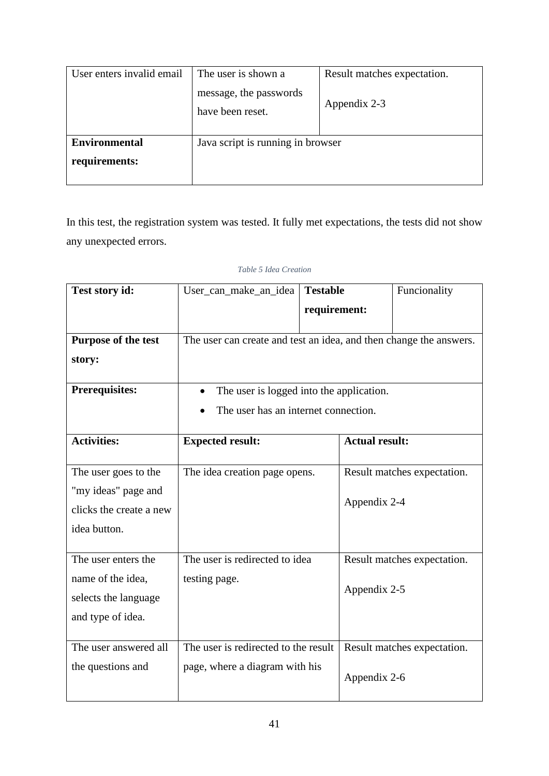| User enters invalid email             | The user is shown a<br>message, the passwords<br>have been reset. | Result matches expectation.<br>Appendix 2-3 |
|---------------------------------------|-------------------------------------------------------------------|---------------------------------------------|
| <b>Environmental</b><br>requirements: | Java script is running in browser                                 |                                             |

In this test, the registration system was tested. It fully met expectations, the tests did not show any unexpected errors.

### *Table 5 Idea Creation*

<span id="page-40-0"></span>

| Test story id:          | User_can_make_an_idea                                              | <b>Testable</b> |              | Funcionality                |  |
|-------------------------|--------------------------------------------------------------------|-----------------|--------------|-----------------------------|--|
|                         |                                                                    | requirement:    |              |                             |  |
| Purpose of the test     | The user can create and test an idea, and then change the answers. |                 |              |                             |  |
| story:                  |                                                                    |                 |              |                             |  |
| <b>Prerequisites:</b>   | The user is logged into the application.                           |                 |              |                             |  |
|                         | The user has an internet connection.                               |                 |              |                             |  |
| <b>Activities:</b>      | <b>Actual result:</b><br><b>Expected result:</b>                   |                 |              |                             |  |
| The user goes to the    | The idea creation page opens.                                      |                 |              | Result matches expectation. |  |
| "my ideas" page and     |                                                                    |                 | Appendix 2-4 |                             |  |
| clicks the create a new |                                                                    |                 |              |                             |  |
| idea button.            |                                                                    |                 |              |                             |  |
| The user enters the     | The user is redirected to idea                                     |                 |              | Result matches expectation. |  |
| name of the idea,       | testing page.                                                      |                 | Appendix 2-5 |                             |  |
| selects the language    |                                                                    |                 |              |                             |  |
| and type of idea.       |                                                                    |                 |              |                             |  |
| The user answered all   | The user is redirected to the result                               |                 |              | Result matches expectation. |  |
| the questions and       | page, where a diagram with his                                     |                 | Appendix 2-6 |                             |  |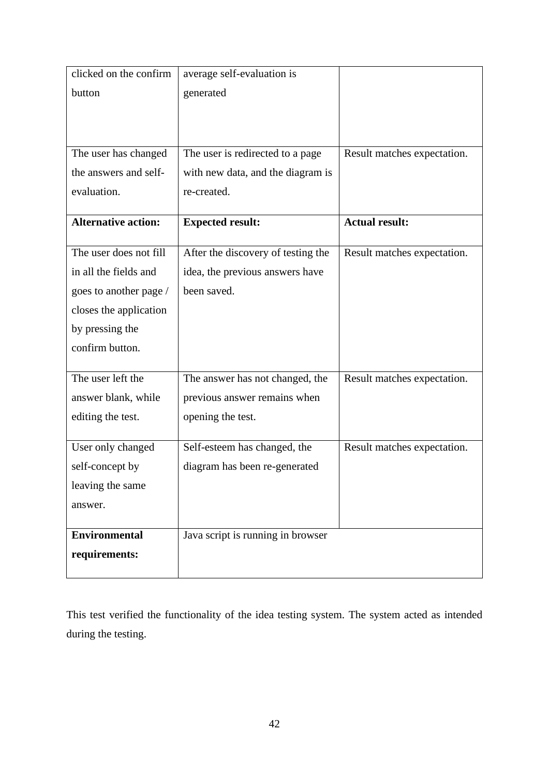| clicked on the confirm     | average self-evaluation is         |                             |
|----------------------------|------------------------------------|-----------------------------|
| button                     | generated                          |                             |
|                            |                                    |                             |
|                            |                                    |                             |
| The user has changed       | The user is redirected to a page   | Result matches expectation. |
| the answers and self-      | with new data, and the diagram is  |                             |
| evaluation.                | re-created.                        |                             |
|                            |                                    |                             |
| <b>Alternative action:</b> | <b>Expected result:</b>            | <b>Actual result:</b>       |
| The user does not fill     | After the discovery of testing the | Result matches expectation. |
| in all the fields and      | idea, the previous answers have    |                             |
| goes to another page /     | been saved.                        |                             |
| closes the application     |                                    |                             |
| by pressing the            |                                    |                             |
| confirm button.            |                                    |                             |
|                            |                                    |                             |
| The user left the          | The answer has not changed, the    | Result matches expectation. |
| answer blank, while        | previous answer remains when       |                             |
| editing the test.          | opening the test.                  |                             |
| User only changed          | Self-esteem has changed, the       | Result matches expectation. |
| self-concept by            | diagram has been re-generated      |                             |
| leaving the same           |                                    |                             |
| answer.                    |                                    |                             |
|                            |                                    |                             |
| <b>Environmental</b>       | Java script is running in browser  |                             |
| requirements:              |                                    |                             |
|                            |                                    |                             |

This test verified the functionality of the idea testing system. The system acted as intended during the testing.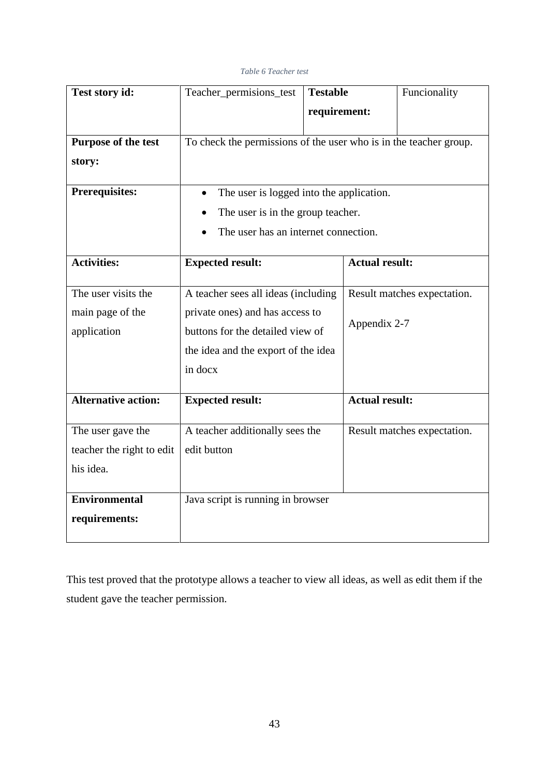### *Table 6 Teacher test*

<span id="page-42-0"></span>

| Test story id:             | Teacher_permisions_test                                           | <b>Testable</b> |                       | Funcionality                |  |
|----------------------------|-------------------------------------------------------------------|-----------------|-----------------------|-----------------------------|--|
|                            |                                                                   | requirement:    |                       |                             |  |
|                            |                                                                   |                 |                       |                             |  |
| <b>Purpose of the test</b> | To check the permissions of the user who is in the teacher group. |                 |                       |                             |  |
| story:                     |                                                                   |                 |                       |                             |  |
| <b>Prerequisites:</b>      | The user is logged into the application.<br>$\bullet$             |                 |                       |                             |  |
|                            | The user is in the group teacher.                                 |                 |                       |                             |  |
|                            | The user has an internet connection.                              |                 |                       |                             |  |
| <b>Activities:</b>         | <b>Expected result:</b>                                           |                 | <b>Actual result:</b> |                             |  |
| The user visits the        | A teacher sees all ideas (including                               |                 |                       | Result matches expectation. |  |
| main page of the           | private ones) and has access to                                   |                 |                       |                             |  |
| application                | buttons for the detailed view of                                  |                 | Appendix 2-7          |                             |  |
|                            | the idea and the export of the idea                               |                 |                       |                             |  |
|                            | in docx                                                           |                 |                       |                             |  |
| <b>Alternative action:</b> | <b>Expected result:</b>                                           |                 | <b>Actual result:</b> |                             |  |
|                            |                                                                   |                 |                       |                             |  |
| The user gave the          | A teacher additionally sees the                                   |                 |                       | Result matches expectation. |  |
| teacher the right to edit  | edit button                                                       |                 |                       |                             |  |
| his idea.                  |                                                                   |                 |                       |                             |  |
| <b>Environmental</b>       | Java script is running in browser                                 |                 |                       |                             |  |
| requirements:              |                                                                   |                 |                       |                             |  |

This test proved that the prototype allows a teacher to view all ideas, as well as edit them if the student gave the teacher permission.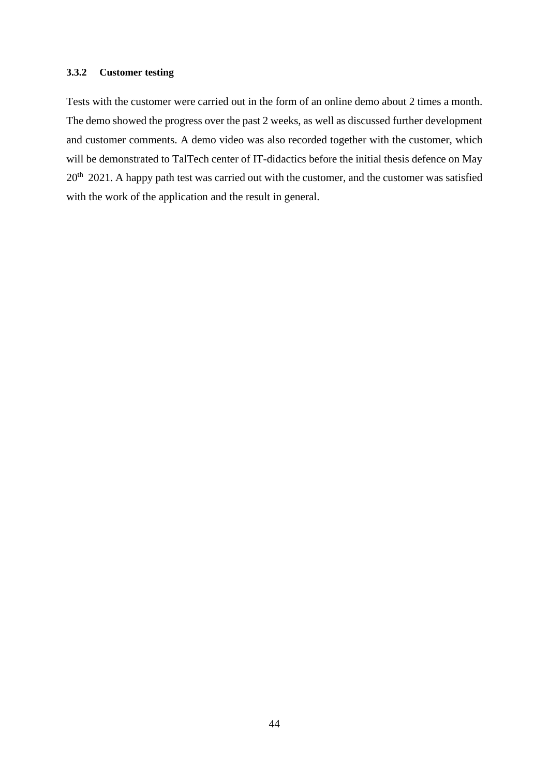### <span id="page-43-0"></span>**3.3.2 Customer testing**

Tests with the customer were carried out in the form of an online demo about 2 times a month. The demo showed the progress over the past 2 weeks, as well as discussed further development and customer comments. A demo video was also recorded together with the customer, which will be demonstrated to TalTech center of IT-didactics before the initial thesis defence on May 20<sup>th</sup> 2021. A happy path test was carried out with the customer, and the customer was satisfied with the work of the application and the result in general.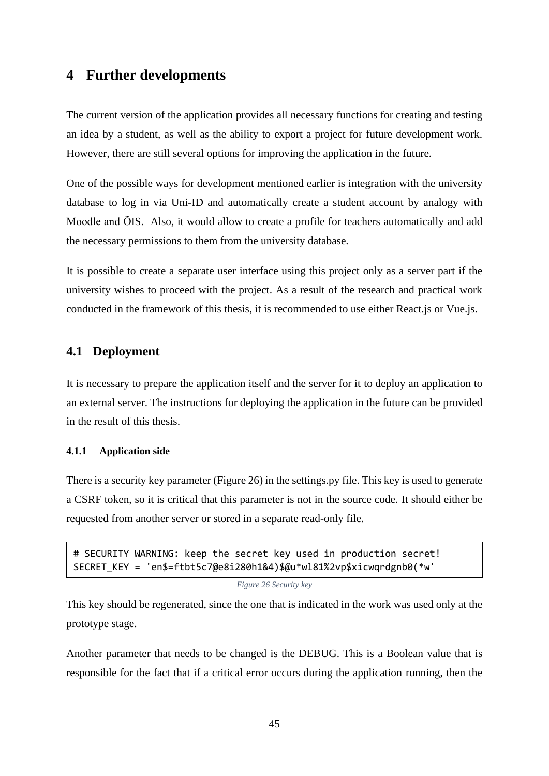# <span id="page-44-0"></span>**4 Further developments**

The current version of the application provides all necessary functions for creating and testing an idea by a student, as well as the ability to export a project for future development work. However, there are still several options for improving the application in the future.

One of the possible ways for development mentioned earlier is integration with the university database to log in via Uni-ID and automatically create a student account by analogy with Moodle and ÕIS. Also, it would allow to create a profile for teachers automatically and add the necessary permissions to them from the university database.

It is possible to create a separate user interface using this project only as a server part if the university wishes to proceed with the project. As a result of the research and practical work conducted in the framework of this thesis, it is recommended to use either React.js or Vue.js.

## <span id="page-44-1"></span>**4.1 Deployment**

It is necessary to prepare the application itself and the server for it to deploy an application to an external server. The instructions for deploying the application in the future can be provided in the result of this thesis.

### <span id="page-44-2"></span>**4.1.1 Application side**

There is a security key parameter (Figure 26) in the settings.py file. This key is used to generate a CSRF token, so it is critical that this parameter is not in the source code. It should either be requested from another server or stored in a separate read-only file.

```
# SECURITY WARNING: keep the secret key used in production secret!
SECRET_KEY = 'en$=ftbt5c7@e8i280h1&4)$@u*wl81%2vp$xicwqrdgnb0(*w'
```
#### *Figure 26 Security key*

This key should be regenerated, since the one that is indicated in the work was used only at the prototype stage.

Another parameter that needs to be changed is the DEBUG. This is a Boolean value that is responsible for the fact that if a critical error occurs during the application running, then the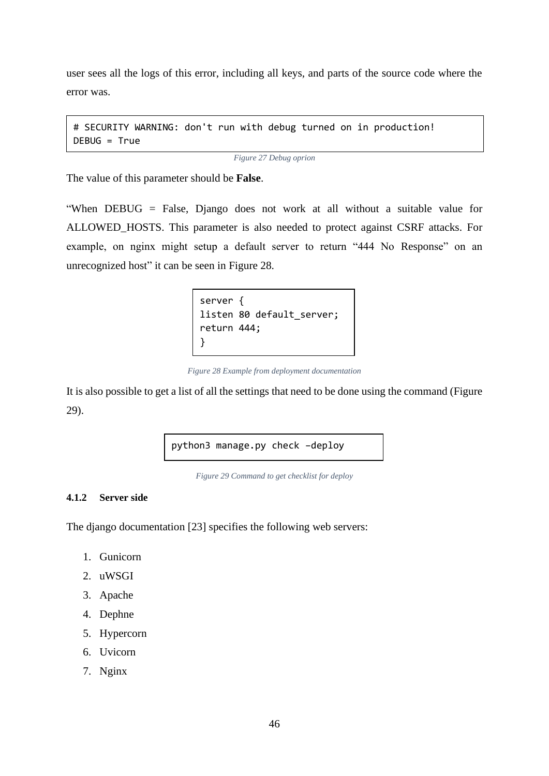user sees all the logs of this error, including all keys, and parts of the source code where the error was.

```
# SECURITY WARNING: don't run with debug turned on in production!
DEBUG = True
```
*Figure 27 Debug oprion*

The value of this parameter should be **False**.

<span id="page-45-2"></span>"When DEBUG = False, Django does not work at all without a suitable value for ALLOWED\_HOSTS. This parameter is also needed to protect against CSRF attacks. For example, on nginx might setup a default server to return "444 No Response" on an unrecognized host" it can be seen in Figure 28.

```
server {
listen 80 default server;
return 444;
}
```
*Figure 28 Example from deployment documentation*

<span id="page-45-3"></span>It is also possible to get a list of all the settings that need to be done using the command (Figure 29).

python3 manage.py check –deploy

*Figure 29 Command to get checklist for deploy*

### <span id="page-45-0"></span>**4.1.2 Server side**

The django documentation [23] specifies the following web servers:

- 1. Gunicorn
- 2. uWSGI
- 3. Apache
- 4. Dephne
- 5. Hypercorn
- 6. Uvicorn
- 7. Nginx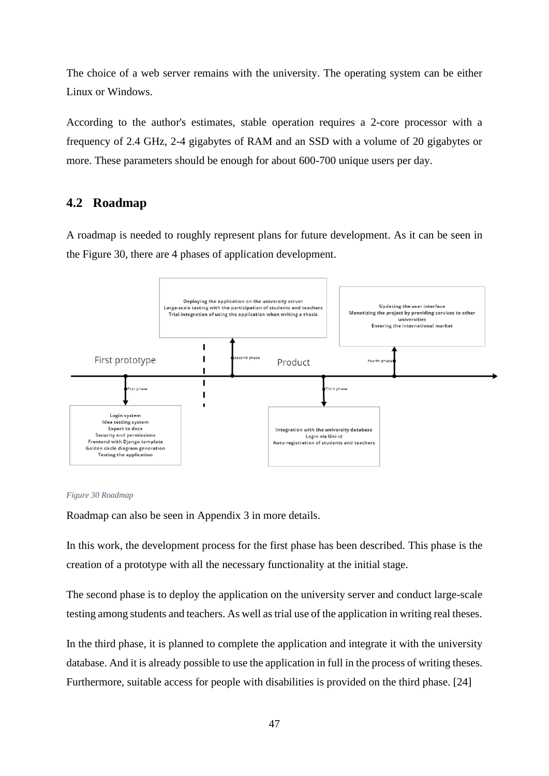The choice of a web server remains with the university. The operating system can be either Linux or Windows.

According to the author's estimates, stable operation requires a 2-core processor with a frequency of 2.4 GHz, 2-4 gigabytes of RAM and an SSD with a volume of 20 gigabytes or more. These parameters should be enough for about 600-700 unique users per day.

# <span id="page-46-0"></span>**4.2 Roadmap**

A roadmap is needed to roughly represent plans for future development. As it can be seen in the [Figure 30,](#page-46-1) there are 4 phases of application development.



#### <span id="page-46-1"></span>*Figure 30 Roadmap*

Roadmap can also be seen in Appendix 3 in more details.

In this work, the development process for the first phase has been described. This phase is the creation of a prototype with all the necessary functionality at the initial stage.

The second phase is to deploy the application on the university server and conduct large-scale testing among students and teachers. As well as trial use of the application in writing real theses.

In the third phase, it is planned to complete the application and integrate it with the university database. And it is already possible to use the application in full in the process of writing theses. Furthermore, suitable access for people with disabilities is provided on the third phase. [24]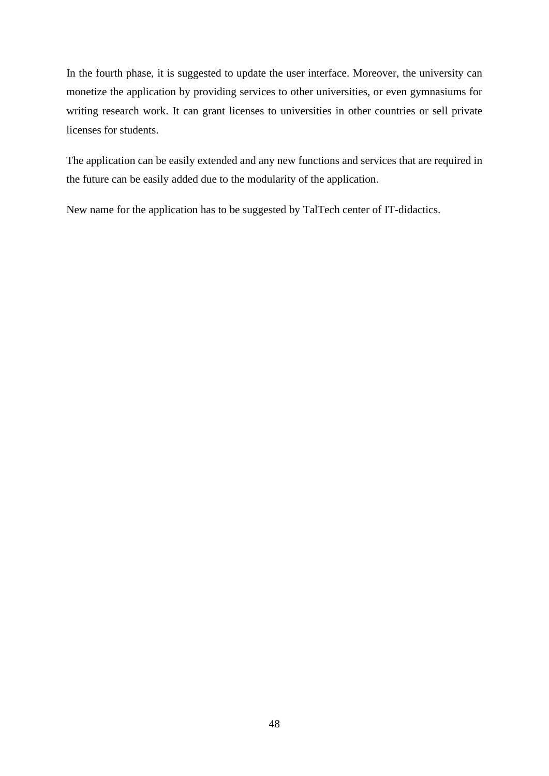In the fourth phase, it is suggested to update the user interface. Moreover, the university can monetize the application by providing services to other universities, or even gymnasiums for writing research work. It can grant licenses to universities in other countries or sell private licenses for students.

The application can be easily extended and any new functions and services that are required in the future can be easily added due to the modularity of the application.

New name for the application has to be suggested by TalTech center of IT-didactics.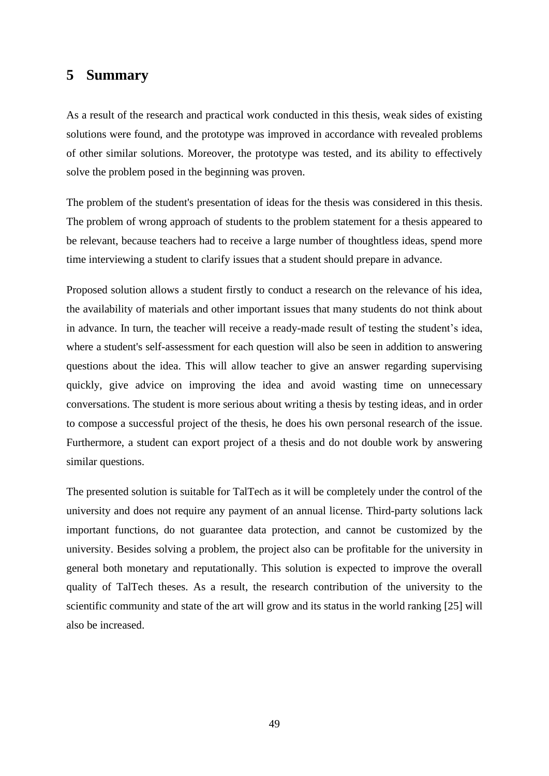# <span id="page-48-0"></span>**5 Summary**

As a result of the research and practical work conducted in this thesis, weak sides of existing solutions were found, and the prototype was improved in accordance with revealed problems of other similar solutions. Moreover, the prototype was tested, and its ability to effectively solve the problem posed in the beginning was proven.

The problem of the student's presentation of ideas for the thesis was considered in this thesis. The problem of wrong approach of students to the problem statement for a thesis appeared to be relevant, because teachers had to receive a large number of thoughtless ideas, spend more time interviewing a student to clarify issues that a student should prepare in advance.

Proposed solution allows a student firstly to conduct a research on the relevance of his idea, the availability of materials and other important issues that many students do not think about in advance. In turn, the teacher will receive a ready-made result of testing the student's idea, where a student's self-assessment for each question will also be seen in addition to answering questions about the idea. This will allow teacher to give an answer regarding supervising quickly, give advice on improving the idea and avoid wasting time on unnecessary conversations. The student is more serious about writing a thesis by testing ideas, and in order to compose a successful project of the thesis, he does his own personal research of the issue. Furthermore, a student can export project of a thesis and do not double work by answering similar questions.

The presented solution is suitable for TalTech as it will be completely under the control of the university and does not require any payment of an annual license. Third-party solutions lack important functions, do not guarantee data protection, and cannot be customized by the university. Besides solving a problem, the project also can be profitable for the university in general both monetary and reputationally. This solution is expected to improve the overall quality of TalTech theses. As a result, the research contribution of the university to the scientific community and state of the art will grow and its status in the world ranking [25] will also be increased.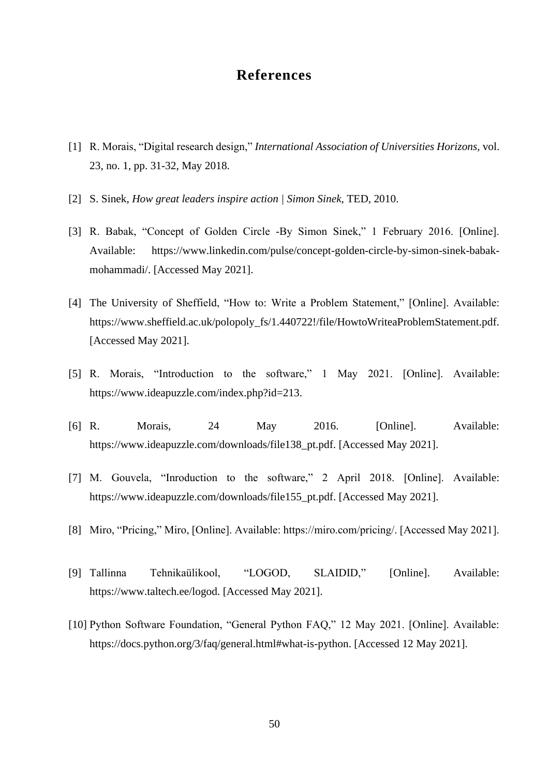# **References**

- <span id="page-49-0"></span>[1] R. Morais, "Digital research design," *International Association of Universities Horizons,* vol. 23, no. 1, pp. 31-32, May 2018.
- [2] S. Sinek, *How great leaders inspire action | Simon Sinek,* TED, 2010.
- [3] R. Babak, "Concept of Golden Circle -By Simon Sinek," 1 February 2016. [Online]. Available: https://www.linkedin.com/pulse/concept-golden-circle-by-simon-sinek-babakmohammadi/. [Accessed May 2021].
- [4] The University of Sheffield, "How to: Write a Problem Statement," [Online]. Available: https://www.sheffield.ac.uk/polopoly\_fs/1.440722!/file/HowtoWriteaProblemStatement.pdf. [Accessed May 2021].
- [5] R. Morais, "Introduction to the software," 1 May 2021. [Online]. Available: https://www.ideapuzzle.com/index.php?id=213.
- [6] R. Morais, 24 May 2016. [Online]. Available: https://www.ideapuzzle.com/downloads/file138\_pt.pdf. [Accessed May 2021].
- [7] M. Gouvela, "Inroduction to the software," 2 April 2018. [Online]. Available: https://www.ideapuzzle.com/downloads/file155\_pt.pdf. [Accessed May 2021].
- [8] Miro, "Pricing," Miro, [Online]. Available: https://miro.com/pricing/. [Accessed May 2021].
- [9] Tallinna Tehnikaülikool, "LOGOD, SLAIDID," [Online]. Available: https://www.taltech.ee/logod. [Accessed May 2021].
- [10] Python Software Foundation, "General Python FAQ," 12 May 2021. [Online]. Available: https://docs.python.org/3/faq/general.html#what-is-python. [Accessed 12 May 2021].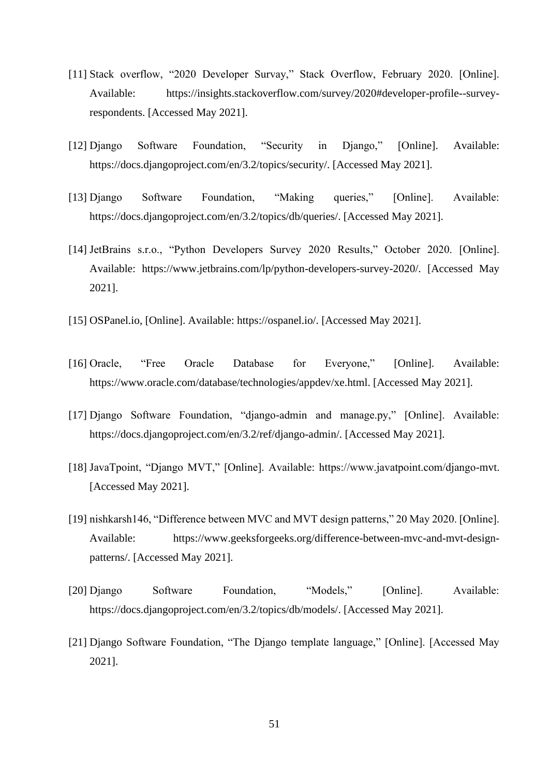- [11] Stack overflow, "2020 Developer Survay," Stack Overflow, February 2020. [Online]. Available: https://insights.stackoverflow.com/survey/2020#developer-profile--surveyrespondents. [Accessed May 2021].
- [12] Django Software Foundation, "Security in Django," [Online]. Available: https://docs.djangoproject.com/en/3.2/topics/security/. [Accessed May 2021].
- [13] Django Software Foundation, "Making queries," [Online]. Available: https://docs.djangoproject.com/en/3.2/topics/db/queries/. [Accessed May 2021].
- [14] JetBrains s.r.o., "Python Developers Survey 2020 Results," October 2020. [Online]. Available: https://www.jetbrains.com/lp/python-developers-survey-2020/. [Accessed May 2021].
- [15] OSPanel.io, [Online]. Available: https://ospanel.io/. [Accessed May 2021].
- [16] Oracle, "Free Oracle Database for Everyone," [Online]. Available: https://www.oracle.com/database/technologies/appdev/xe.html. [Accessed May 2021].
- [17] Django Software Foundation, "django-admin and manage.py," [Online]. Available: https://docs.djangoproject.com/en/3.2/ref/django-admin/. [Accessed May 2021].
- [18] JavaTpoint, "Django MVT," [Online]. Available: https://www.javatpoint.com/django-mvt. [Accessed May 2021].
- [19] nishkarsh146, "Difference between MVC and MVT design patterns," 20 May 2020. [Online]. Available: https://www.geeksforgeeks.org/difference-between-mvc-and-mvt-designpatterns/. [Accessed May 2021].
- [20] Django Software Foundation, "Models," [Online]. Available: https://docs.djangoproject.com/en/3.2/topics/db/models/. [Accessed May 2021].
- [21] Django Software Foundation, "The Django template language," [Online]. [Accessed May 2021].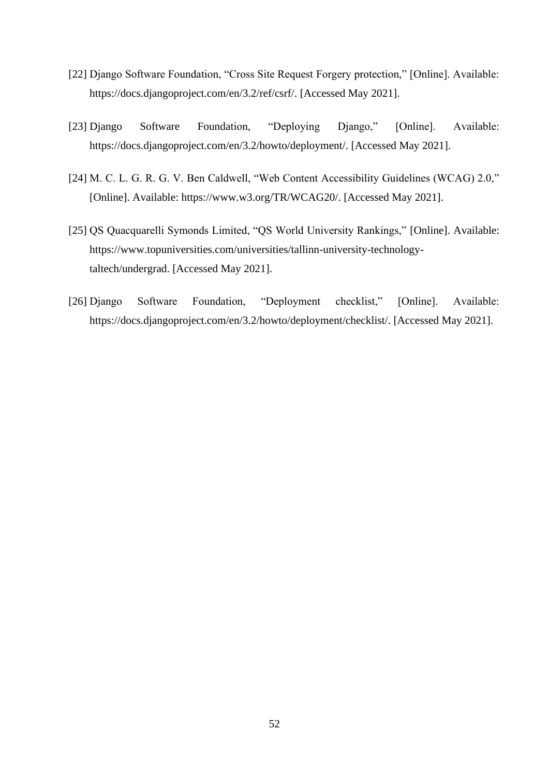- [22] Django Software Foundation, "Cross Site Request Forgery protection," [Online]. Available: https://docs.djangoproject.com/en/3.2/ref/csrf/. [Accessed May 2021].
- [23] Django Software Foundation, "Deploying Django," [Online]. Available: https://docs.djangoproject.com/en/3.2/howto/deployment/. [Accessed May 2021].
- [24] M. C. L. G. R. G. V. Ben Caldwell, "Web Content Accessibility Guidelines (WCAG) 2.0," [Online]. Available: https://www.w3.org/TR/WCAG20/. [Accessed May 2021].
- [25] QS Quacquarelli Symonds Limited, "QS World University Rankings," [Online]. Available: https://www.topuniversities.com/universities/tallinn-university-technologytaltech/undergrad. [Accessed May 2021].
- [26] Django Software Foundation, "Deployment checklist," [Online]. Available: https://docs.djangoproject.com/en/3.2/howto/deployment/checklist/. [Accessed May 2021].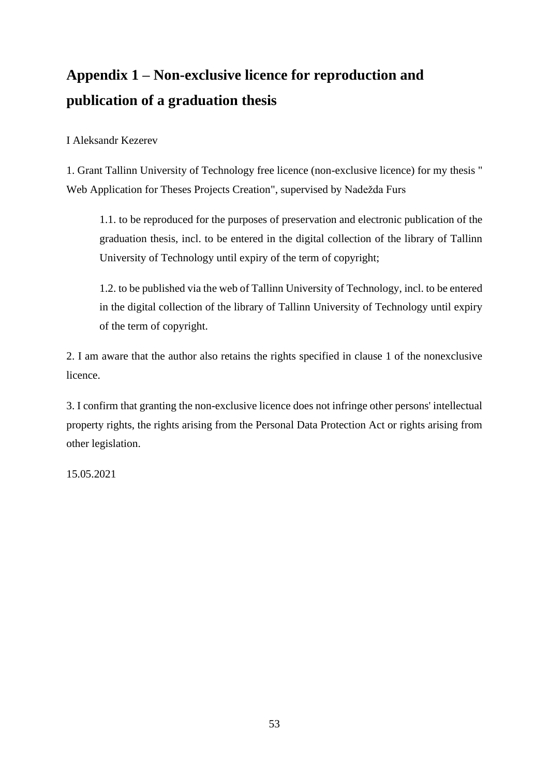# <span id="page-52-0"></span>**Appendix 1 – Non-exclusive licence for reproduction and publication of a graduation thesis**

I Aleksandr Kezerev

1. Grant Tallinn University of Technology free licence (non-exclusive licence) for my thesis " Web Application for Theses Projects Creation", supervised by Nadežda Furs

1.1. to be reproduced for the purposes of preservation and electronic publication of the graduation thesis, incl. to be entered in the digital collection of the library of Tallinn University of Technology until expiry of the term of copyright;

1.2. to be published via the web of Tallinn University of Technology, incl. to be entered in the digital collection of the library of Tallinn University of Technology until expiry of the term of copyright.

2. I am aware that the author also retains the rights specified in clause 1 of the nonexclusive licence.

3. I confirm that granting the non-exclusive licence does not infringe other persons' intellectual property rights, the rights arising from the Personal Data Protection Act or rights arising from other legislation.

15.05.2021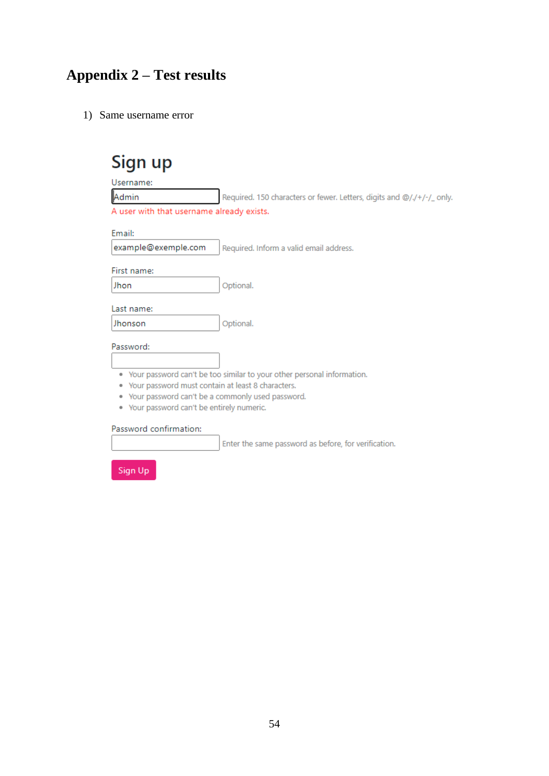# <span id="page-53-0"></span>**Appendix 2 – Test results**

1) Same username error

| Sign up                                                                         |
|---------------------------------------------------------------------------------|
| Username:                                                                       |
| Admin<br>Required. 150 characters or fewer. Letters, digits and @/./+/-/_ only. |
| A user with that username already exists.                                       |
| Email:                                                                          |
| example@exemple.com<br>Required. Inform a valid email address.                  |
| First name:                                                                     |
| Optional.<br>Jhon                                                               |
| Last name:                                                                      |
| Optional.<br>Jhonson                                                            |
| Password:                                                                       |
|                                                                                 |
| • Your password can't be too similar to your other personal information.        |
| Your password must contain at least 8 characters.<br>۰                          |
| Your password can't be a commonly used password.<br>۰                           |
| . Your password can't be entirely numeric.                                      |
| Password confirmation:                                                          |

Enter the same password as before, for verification.

Sign Up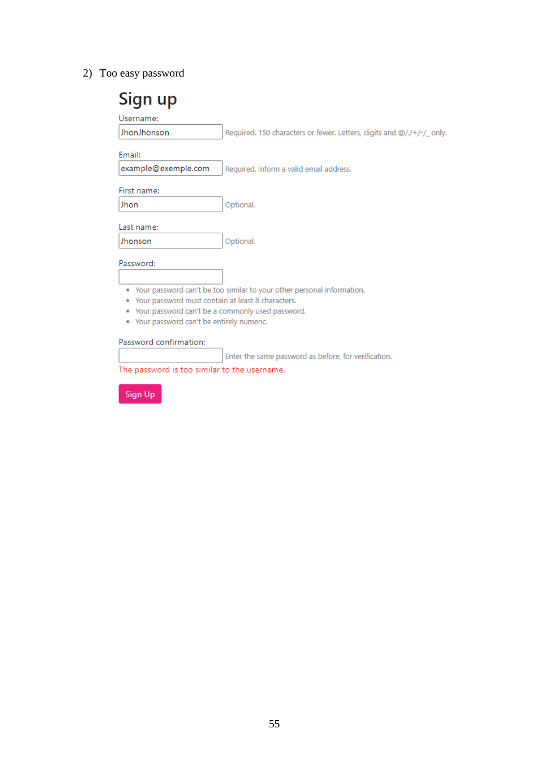2) Too easy password

| Sign up                                                                                                                                                    |                                                                          |
|------------------------------------------------------------------------------------------------------------------------------------------------------------|--------------------------------------------------------------------------|
| Username:                                                                                                                                                  |                                                                          |
| JhonJhonson                                                                                                                                                | Required. 150 characters or fewer. Letters, digits and @/./+/-/_only.    |
| Fmail:                                                                                                                                                     |                                                                          |
| example@exemple.com                                                                                                                                        | Required. Inform a valid email address.                                  |
| First name:                                                                                                                                                |                                                                          |
| Jhon                                                                                                                                                       | Optional.                                                                |
| Last name:                                                                                                                                                 |                                                                          |
| Jhonson                                                                                                                                                    | Optional.                                                                |
| Password:                                                                                                                                                  |                                                                          |
| Your password must contain at least 8 characters.<br>۰<br>. Your password can't be a commonly used password.<br>• Your password can't be entirely numeric. | • Your password can't be too similar to your other personal information. |
| Password confirmation:                                                                                                                                     |                                                                          |
|                                                                                                                                                            | Enter the same password as before, for verification.                     |
| The password is too similar to the username.                                                                                                               |                                                                          |
| Sign Up                                                                                                                                                    |                                                                          |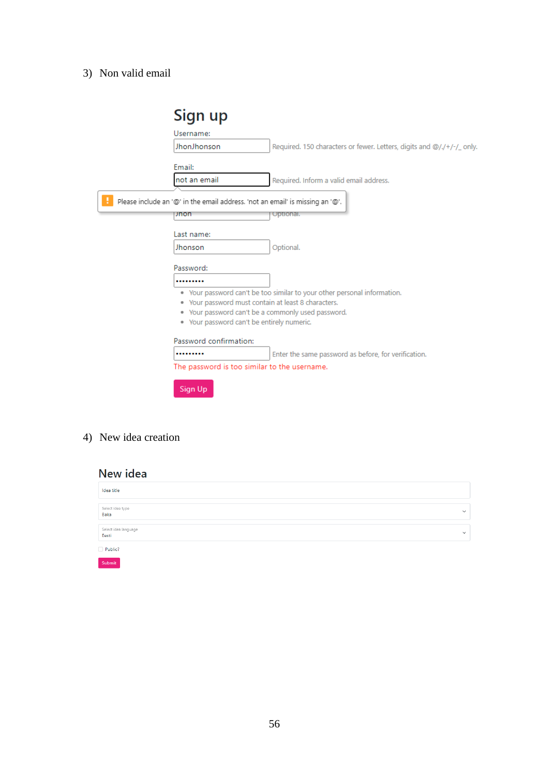# 3) Non valid email

| Sign up                                                                       |                                                                          |
|-------------------------------------------------------------------------------|--------------------------------------------------------------------------|
| Username:                                                                     |                                                                          |
| JhonJhonson                                                                   | Required. 150 characters or fewer. Letters, digits and @/./+/-/_ only.   |
| Email:                                                                        |                                                                          |
| not an email                                                                  | Required. Inform a valid email address.                                  |
| Please include an '@' in the email address. 'not an email' is missing an '@'. |                                                                          |
| unon                                                                          | <b>Optional</b>                                                          |
| Last name:                                                                    |                                                                          |
| Jhonson                                                                       | Optional.                                                                |
| Password:                                                                     |                                                                          |
|                                                                               |                                                                          |
|                                                                               | • Your password can't be too similar to your other personal information. |
| • Your password must contain at least 8 characters.                           |                                                                          |
| . Your password can't be a commonly used password.                            |                                                                          |
| . Your password can't be entirely numeric.                                    |                                                                          |
| Password confirmation:                                                        |                                                                          |
|                                                                               | Enter the same password as before, for verification.                     |
| The password is too similar to the username.                                  |                                                                          |
|                                                                               |                                                                          |
| Sign Up                                                                       |                                                                          |

4) New idea creation

# New idea

| Idea title                    |              |
|-------------------------------|--------------|
|                               |              |
| Select idea type<br>Baka      | $\checkmark$ |
|                               |              |
| Select idea language<br>Eesti | $\checkmark$ |
| Public?                       |              |
| Submit                        |              |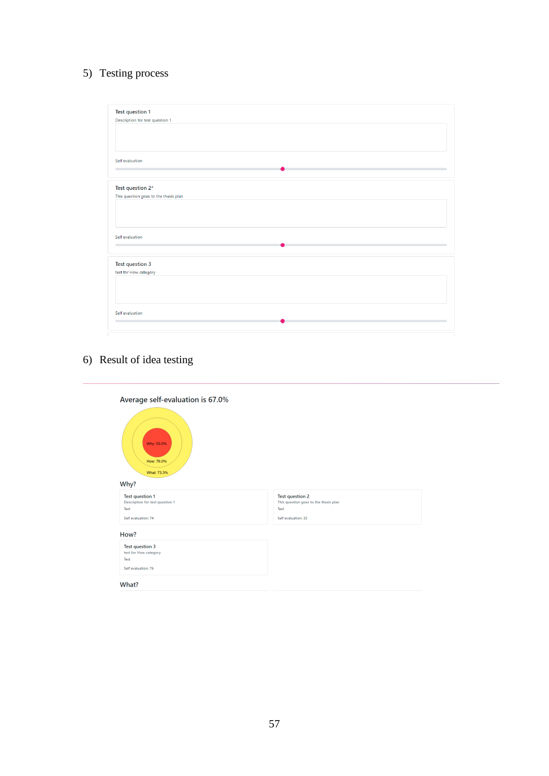# 5) Testing process

| Test question 1                       |  |  |
|---------------------------------------|--|--|
| Description for test question 1       |  |  |
|                                       |  |  |
|                                       |  |  |
|                                       |  |  |
|                                       |  |  |
| Self evaluation                       |  |  |
|                                       |  |  |
|                                       |  |  |
|                                       |  |  |
| Test question 2*                      |  |  |
| This question goes to the thesis plan |  |  |
|                                       |  |  |
|                                       |  |  |
|                                       |  |  |
|                                       |  |  |
| Self evaluation                       |  |  |
|                                       |  |  |
|                                       |  |  |
|                                       |  |  |
| Test question 3                       |  |  |
| test for How category                 |  |  |
|                                       |  |  |
|                                       |  |  |
|                                       |  |  |
|                                       |  |  |
| Self evaluation                       |  |  |
|                                       |  |  |
|                                       |  |  |
|                                       |  |  |

# 6) Result of idea testing

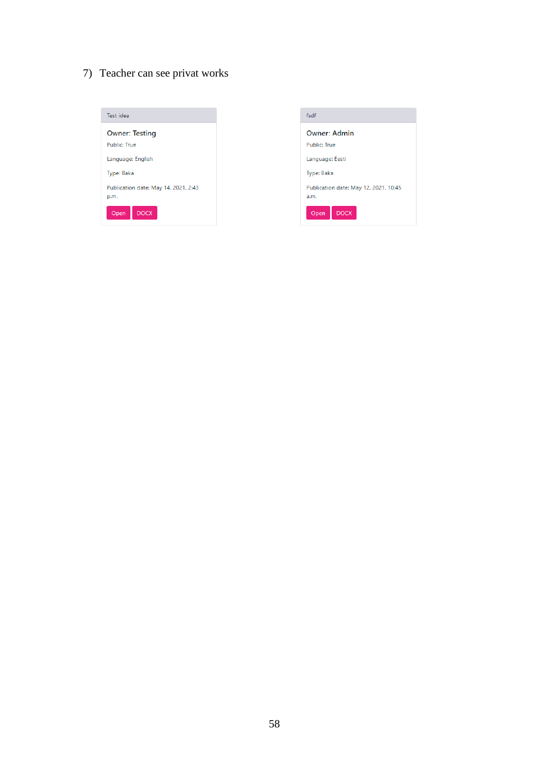7) Teacher can see privat works